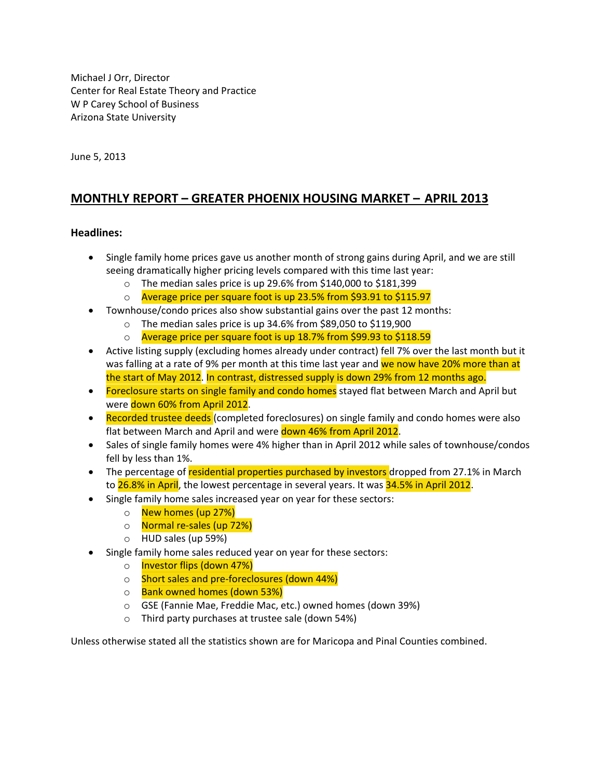Michael J Orr, Director Center for Real Estate Theory and Practice W P Carey School of Business Arizona State University

June 5, 2013

### **MONTHLY REPORT – GREATER PHOENIX HOUSING MARKET – APRIL 2013**

#### **Headlines:**

- Single family home prices gave us another month of strong gains during April, and we are still seeing dramatically higher pricing levels compared with this time last year:
	- o The median sales price is up 29.6% from \$140,000 to \$181,399
	- o Average price per square foot is up 23.5% from \$93.91 to \$115.97
- Townhouse/condo prices also show substantial gains over the past 12 months:
	- o The median sales price is up 34.6% from \$89,050 to \$119,900
	- o Average price per square foot is up 18.7% from \$99.93 to \$118.59
- Active listing supply (excluding homes already under contract) fell 7% over the last month but it was falling at a rate of 9% per month at this time last year and we now have 20% more than at the start of May 2012. In contrast, distressed supply is down 29% from 12 months ago.
- Foreclosure starts on single family and condo homes stayed flat between March and April but were down 60% from April 2012.
- Recorded trustee deeds (completed foreclosures) on single family and condo homes were also flat between March and April and were down 46% from April 2012.
- Sales of single family homes were 4% higher than in April 2012 while sales of townhouse/condos fell by less than 1%.
- The percentage of residential properties purchased by investors dropped from 27.1% in March to 26.8% in April, the lowest percentage in several years. It was 34.5% in April 2012.
- Single family home sales increased year on year for these sectors:
	- o **New homes (up 27%)**
	- o Normal re-sales (up 72%)
	- o HUD sales (up 59%)
- Single family home sales reduced year on year for these sectors:
	- o **Investor flips (down 47%)**
	- o Short sales and pre-foreclosures (down 44%)
	- o Bank owned homes (down 53%)
	- o GSE (Fannie Mae, Freddie Mac, etc.) owned homes (down 39%)
	- o Third party purchases at trustee sale (down 54%)

Unless otherwise stated all the statistics shown are for Maricopa and Pinal Counties combined.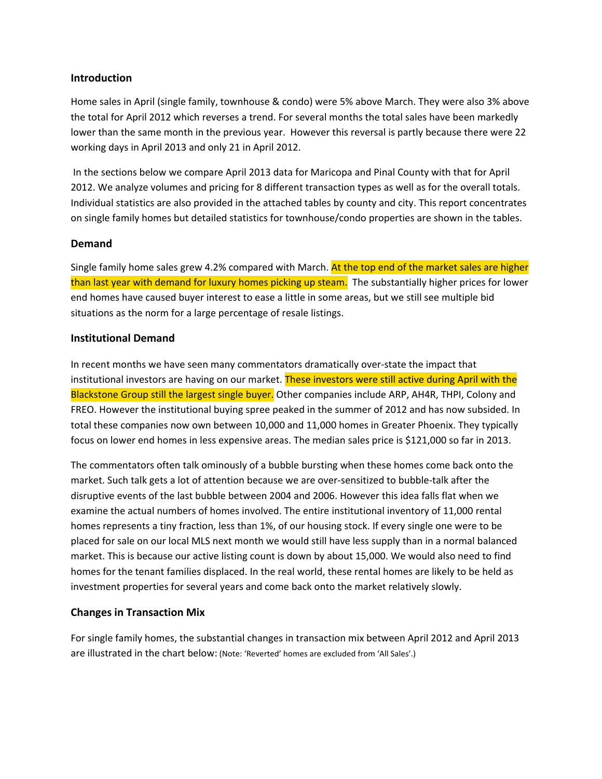#### **Introduction**

Home sales in April (single family, townhouse & condo) were 5% above March. They were also 3% above the total for April 2012 which reverses a trend. For several months the total sales have been markedly lower than the same month in the previous year. However this reversal is partly because there were 22 working days in April 2013 and only 21 in April 2012.

In the sections below we compare April 2013 data for Maricopa and Pinal County with that for April 2012. We analyze volumes and pricing for 8 different transaction types as well as for the overall totals. Individual statistics are also provided in the attached tables by county and city. This report concentrates on single family homes but detailed statistics for townhouse/condo properties are shown in the tables.

#### **Demand**

Single family home sales grew 4.2% compared with March. At the top end of the market sales are higher than last year with demand for luxury homes picking up steam. The substantially higher prices for lower end homes have caused buyer interest to ease a little in some areas, but we still see multiple bid situations as the norm for a large percentage of resale listings.

#### **Institutional Demand**

In recent months we have seen many commentators dramatically over-state the impact that institutional investors are having on our market. These investors were still active during April with the Blackstone Group still the largest single buyer. Other companies include ARP, AH4R, THPI, Colony and FREO. However the institutional buying spree peaked in the summer of 2012 and has now subsided. In total these companies now own between 10,000 and 11,000 homes in Greater Phoenix. They typically focus on lower end homes in less expensive areas. The median sales price is \$121,000 so far in 2013.

The commentators often talk ominously of a bubble bursting when these homes come back onto the market. Such talk gets a lot of attention because we are over-sensitized to bubble-talk after the disruptive events of the last bubble between 2004 and 2006. However this idea falls flat when we examine the actual numbers of homes involved. The entire institutional inventory of 11,000 rental homes represents a tiny fraction, less than 1%, of our housing stock. If every single one were to be placed for sale on our local MLS next month we would still have less supply than in a normal balanced market. This is because our active listing count is down by about 15,000. We would also need to find homes for the tenant families displaced. In the real world, these rental homes are likely to be held as investment properties for several years and come back onto the market relatively slowly.

#### **Changes in Transaction Mix**

For single family homes, the substantial changes in transaction mix between April 2012 and April 2013 are illustrated in the chart below: (Note: 'Reverted' homes are excluded from 'All Sales'.)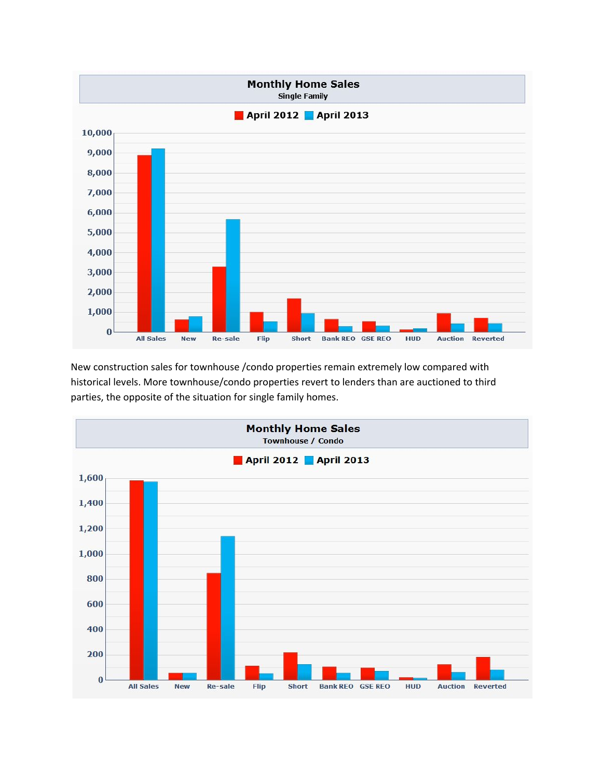

New construction sales for townhouse /condo properties remain extremely low compared with historical levels. More townhouse/condo properties revert to lenders than are auctioned to third parties, the opposite of the situation for single family homes.

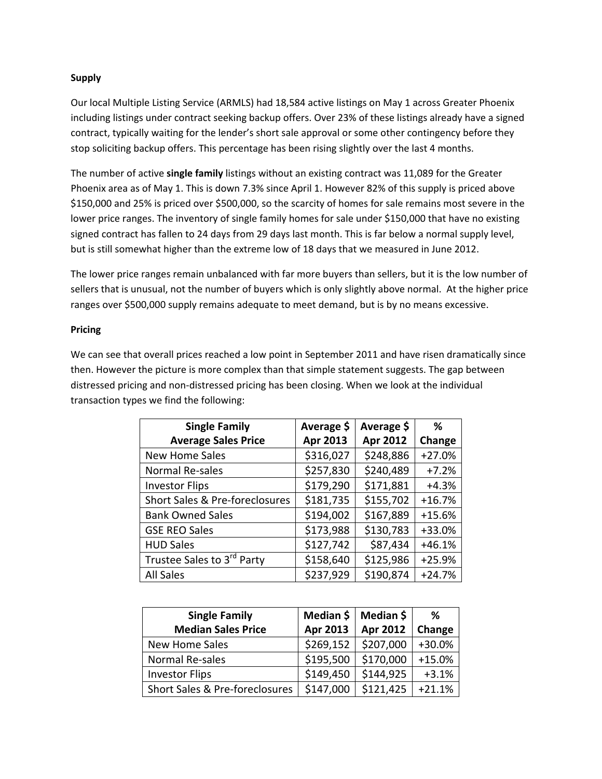#### **Supply**

Our local Multiple Listing Service (ARMLS) had 18,584 active listings on May 1 across Greater Phoenix including listings under contract seeking backup offers. Over 23% of these listings already have a signed contract, typically waiting for the lender's short sale approval or some other contingency before they stop soliciting backup offers. This percentage has been rising slightly over the last 4 months.

The number of active **single family** listings without an existing contract was 11,089 for the Greater Phoenix area as of May 1. This is down 7.3% since April 1. However 82% of this supply is priced above \$150,000 and 25% is priced over \$500,000, so the scarcity of homes for sale remains most severe in the lower price ranges. The inventory of single family homes for sale under \$150,000 that have no existing signed contract has fallen to 24 days from 29 days last month. This is far below a normal supply level, but is still somewhat higher than the extreme low of 18 days that we measured in June 2012.

The lower price ranges remain unbalanced with far more buyers than sellers, but it is the low number of sellers that is unusual, not the number of buyers which is only slightly above normal. At the higher price ranges over \$500,000 supply remains adequate to meet demand, but is by no means excessive.

#### **Pricing**

We can see that overall prices reached a low point in September 2011 and have risen dramatically since then. However the picture is more complex than that simple statement suggests. The gap between distressed pricing and non-distressed pricing has been closing. When we look at the individual transaction types we find the following:

| <b>Single Family</b>           | Average \$ | Average \$      | ℅        |
|--------------------------------|------------|-----------------|----------|
| <b>Average Sales Price</b>     | Apr 2013   | <b>Apr 2012</b> | Change   |
| <b>New Home Sales</b>          | \$316,027  | \$248,886       | $+27.0%$ |
| Normal Re-sales                | \$257,830  | \$240,489       | $+7.2%$  |
| <b>Investor Flips</b>          | \$179,290  | \$171,881       | $+4.3%$  |
| Short Sales & Pre-foreclosures | \$181,735  | \$155,702       | $+16.7%$ |
| <b>Bank Owned Sales</b>        | \$194,002  | \$167,889       | $+15.6%$ |
| <b>GSE REO Sales</b>           | \$173,988  | \$130,783       | +33.0%   |
| <b>HUD Sales</b>               | \$127,742  | \$87,434        | $+46.1%$ |
| Trustee Sales to 3rd Party     | \$158,640  | \$125,986       | $+25.9%$ |
| <b>All Sales</b>               | \$237,929  | \$190,874       | $+24.7%$ |

| <b>Single Family</b>           | Median \$       | Median \$ | ℅        |
|--------------------------------|-----------------|-----------|----------|
| <b>Median Sales Price</b>      | <b>Apr 2013</b> | Apr 2012  | Change   |
| <b>New Home Sales</b>          | \$269,152       | \$207,000 | $+30.0%$ |
| Normal Re-sales                | \$195,500       | \$170,000 | $+15.0%$ |
| <b>Investor Flips</b>          | \$149,450       | \$144,925 | $+3.1%$  |
| Short Sales & Pre-foreclosures | \$147,000       | \$121,425 | $+21.1%$ |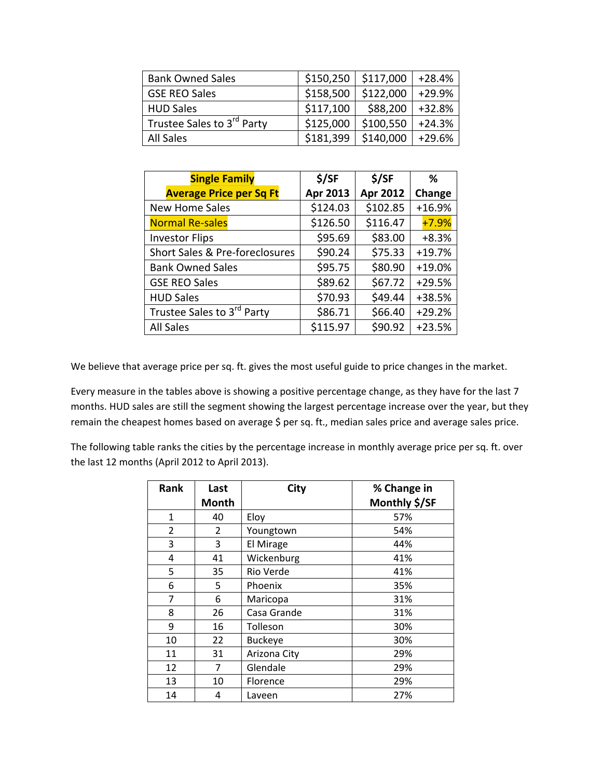| <b>Bank Owned Sales</b>    | \$150,250 | \$117,000 | $+28.4%$ |
|----------------------------|-----------|-----------|----------|
| <b>GSE REO Sales</b>       | \$158,500 | \$122,000 | $+29.9%$ |
| <b>HUD Sales</b>           | \$117,100 | \$88,200  | $+32.8%$ |
| Trustee Sales to 3rd Party | \$125,000 | \$100,550 | $+24.3%$ |
| <b>All Sales</b>           | \$181,399 | \$140,000 | $+29.6%$ |

| <b>Single Family</b>                   | \$/SF    | \$/SF    | %        |
|----------------------------------------|----------|----------|----------|
| <b>Average Price per Sq Ft</b>         | Apr 2013 | Apr 2012 | Change   |
| <b>New Home Sales</b>                  | \$124.03 | \$102.85 | $+16.9%$ |
| <b>Normal Re-sales</b>                 | \$126.50 | \$116.47 | $+7.9%$  |
| <b>Investor Flips</b>                  | \$95.69  | \$83.00  | $+8.3%$  |
| Short Sales & Pre-foreclosures         | \$90.24  | \$75.33  | $+19.7%$ |
| <b>Bank Owned Sales</b>                | \$95.75  | \$80.90  | $+19.0%$ |
| <b>GSE REO Sales</b>                   | \$89.62  | \$67.72  | $+29.5%$ |
| <b>HUD Sales</b>                       | \$70.93  | \$49.44  | +38.5%   |
| Trustee Sales to 3 <sup>rd</sup> Party | \$86.71  | \$66.40  | $+29.2%$ |
| <b>All Sales</b>                       | \$115.97 | \$90.92  | $+23.5%$ |

We believe that average price per sq. ft. gives the most useful guide to price changes in the market.

Every measure in the tables above is showing a positive percentage change, as they have for the last 7 months. HUD sales are still the segment showing the largest percentage increase over the year, but they remain the cheapest homes based on average \$ per sq. ft., median sales price and average sales price.

The following table ranks the cities by the percentage increase in monthly average price per sq. ft. over the last 12 months (April 2012 to April 2013).

| Rank         | Last         | <b>City</b>    | % Change in   |
|--------------|--------------|----------------|---------------|
|              | <b>Month</b> |                | Monthly \$/SF |
| $\mathbf{1}$ | 40           | Eloy           | 57%           |
| 2            | 2            | Youngtown      | 54%           |
| 3            | 3            | El Mirage      | 44%           |
| 4            | 41           | Wickenburg     | 41%           |
| 5            | 35           | Rio Verde      | 41%           |
| 6            | 5            | Phoenix        | 35%           |
| 7            | 6            | Maricopa       | 31%           |
| 8            | 26           | Casa Grande    | 31%           |
| 9            | 16           | Tolleson       | 30%           |
| 10           | 22           | <b>Buckeye</b> | 30%           |
| 11           | 31           | Arizona City   | 29%           |
| 12           | 7            | Glendale       | 29%           |
| 13           | 10           | Florence       | 29%           |
| 14           | 4            | Laveen         | 27%           |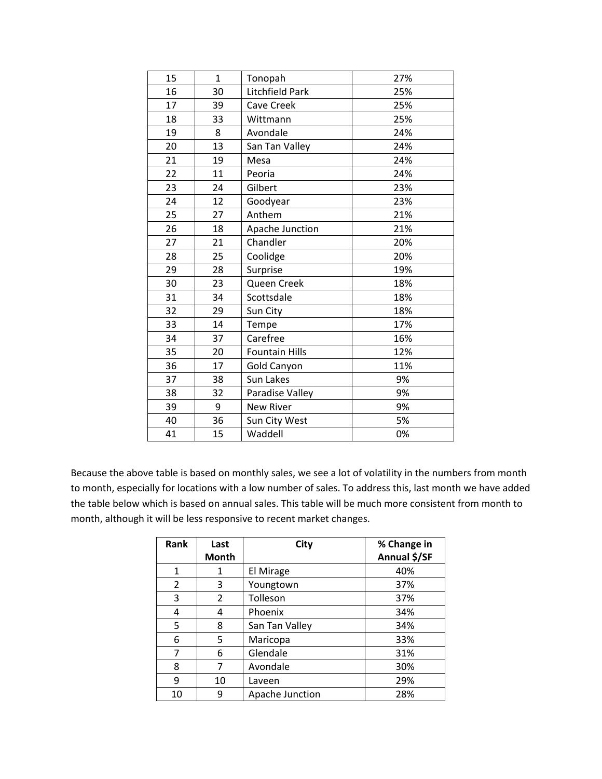| 15 | $\mathbf{1}$ | Tonopah               | 27% |
|----|--------------|-----------------------|-----|
| 16 | 30           | Litchfield Park       | 25% |
| 17 | 39           | Cave Creek            | 25% |
| 18 | 33           | Wittmann              | 25% |
| 19 | 8            | Avondale              | 24% |
| 20 | 13           | San Tan Valley        | 24% |
| 21 | 19           | Mesa                  | 24% |
| 22 | 11           | Peoria                | 24% |
| 23 | 24           | Gilbert               | 23% |
| 24 | 12           | Goodyear              | 23% |
| 25 | 27           | Anthem                | 21% |
| 26 | 18           | Apache Junction       | 21% |
| 27 | 21           | Chandler              | 20% |
| 28 | 25           | Coolidge              | 20% |
| 29 | 28           | Surprise              | 19% |
| 30 | 23           | Queen Creek           | 18% |
| 31 | 34           | Scottsdale            | 18% |
| 32 | 29           | Sun City              | 18% |
| 33 | 14           | Tempe                 | 17% |
| 34 | 37           | Carefree              | 16% |
| 35 | 20           | <b>Fountain Hills</b> | 12% |
| 36 | 17           | <b>Gold Canyon</b>    | 11% |
| 37 | 38           | Sun Lakes             | 9%  |
| 38 | 32           | Paradise Valley       | 9%  |
| 39 | 9            | <b>New River</b>      | 9%  |
| 40 | 36           | Sun City West         | 5%  |
| 41 | 15           | Waddell               | 0%  |

Because the above table is based on monthly sales, we see a lot of volatility in the numbers from month to month, especially for locations with a low number of sales. To address this, last month we have added the table below which is based on annual sales. This table will be much more consistent from month to month, although it will be less responsive to recent market changes.

| Rank           | Last           | City            | % Change in  |
|----------------|----------------|-----------------|--------------|
|                | <b>Month</b>   |                 | Annual \$/SF |
| $\mathbf{1}$   | 1              | El Mirage       | 40%          |
| $\overline{2}$ | 3              | Youngtown       | 37%          |
| 3              | $\overline{2}$ | Tolleson        | 37%          |
| 4              | 4              | Phoenix         | 34%          |
| 5              | 8              | San Tan Valley  | 34%          |
| 6              | 5              | Maricopa        | 33%          |
| 7              | 6              | Glendale        | 31%          |
| 8              | 7              | Avondale        | 30%          |
| 9              | 10             | Laveen          | 29%          |
| 10             | 9              | Apache Junction | 28%          |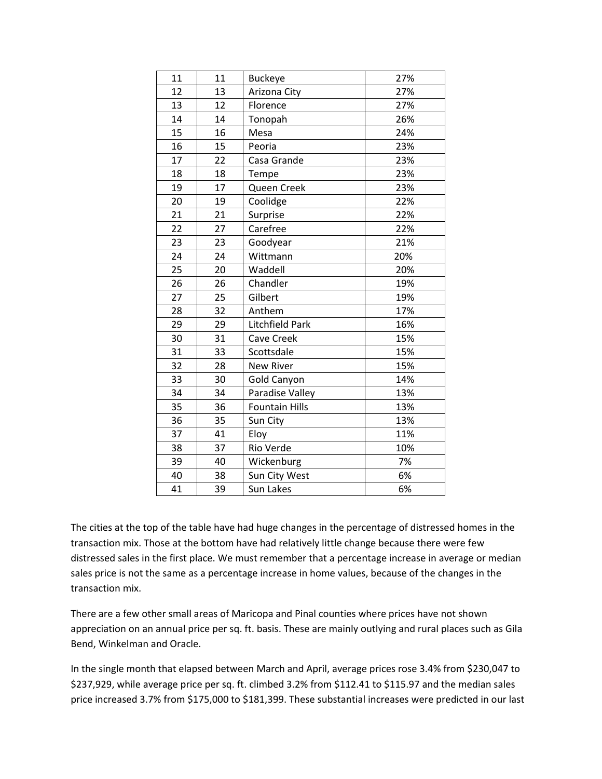| 11 | 11 | <b>Buckeye</b>        | 27% |
|----|----|-----------------------|-----|
| 12 | 13 | Arizona City          | 27% |
| 13 | 12 | Florence              | 27% |
| 14 | 14 | Tonopah               | 26% |
| 15 | 16 | Mesa                  | 24% |
| 16 | 15 | Peoria                | 23% |
| 17 | 22 | Casa Grande           | 23% |
| 18 | 18 | Tempe                 | 23% |
| 19 | 17 | Queen Creek           | 23% |
| 20 | 19 | Coolidge              | 22% |
| 21 | 21 | Surprise              | 22% |
| 22 | 27 | Carefree              | 22% |
| 23 | 23 | Goodyear              | 21% |
| 24 | 24 | Wittmann              | 20% |
| 25 | 20 | Waddell               | 20% |
| 26 | 26 | Chandler              | 19% |
| 27 | 25 | Gilbert               | 19% |
| 28 | 32 | Anthem                | 17% |
| 29 | 29 | Litchfield Park       | 16% |
| 30 | 31 | <b>Cave Creek</b>     | 15% |
| 31 | 33 | Scottsdale            | 15% |
| 32 | 28 | <b>New River</b>      | 15% |
| 33 | 30 | <b>Gold Canyon</b>    | 14% |
| 34 | 34 | Paradise Valley       | 13% |
| 35 | 36 | <b>Fountain Hills</b> | 13% |
| 36 | 35 | Sun City              | 13% |
| 37 | 41 | Eloy                  | 11% |
| 38 | 37 | Rio Verde             | 10% |
| 39 | 40 | Wickenburg            | 7%  |
| 40 | 38 | Sun City West         | 6%  |
| 41 | 39 | Sun Lakes             | 6%  |

The cities at the top of the table have had huge changes in the percentage of distressed homes in the transaction mix. Those at the bottom have had relatively little change because there were few distressed sales in the first place. We must remember that a percentage increase in average or median sales price is not the same as a percentage increase in home values, because of the changes in the transaction mix.

There are a few other small areas of Maricopa and Pinal counties where prices have not shown appreciation on an annual price per sq. ft. basis. These are mainly outlying and rural places such as Gila Bend, Winkelman and Oracle.

In the single month that elapsed between March and April, average prices rose 3.4% from \$230,047 to \$237,929, while average price per sq. ft. climbed 3.2% from \$112.41 to \$115.97 and the median sales price increased 3.7% from \$175,000 to \$181,399. These substantial increases were predicted in our last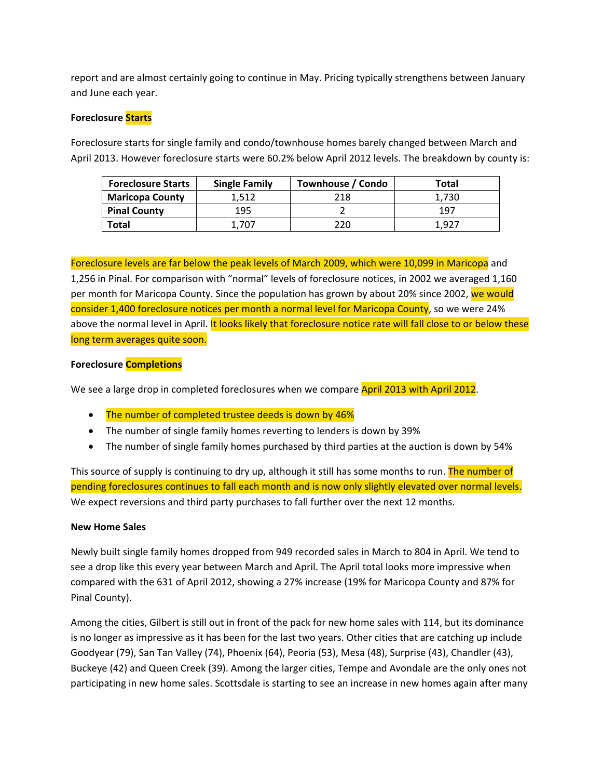report and are almost certainly going to continue in May. Pricing typically strengthens between January and June each year.

#### **Foreclosure Starts**

Foreclosure starts for single family and condo/townhouse homes barely changed between March and April 2013. However foreclosure starts were 60.2% below April 2012 levels. The breakdown by county is:

| <b>Foreclosure Starts</b> | <b>Single Family</b> | Townhouse / Condo | Total |
|---------------------------|----------------------|-------------------|-------|
| <b>Maricopa County</b>    | 1.512                | 218               | 1.730 |
| <b>Pinal County</b>       | 195                  |                   | 197   |
| Total                     | 707                  | 220               | 1.927 |

Foreclosure levels are far below the peak levels of March 2009, which were 10,099 in Maricopa and 1,256 in Pinal. For comparison with "normal" levels of foreclosure notices, in 2002 we averaged 1,160 per month for Maricopa County. Since the population has grown by about 20% since 2002, we would consider 1,400 foreclosure notices per month a normal level for Maricopa County, so we were 24% above the normal level in April. It looks likely that foreclosure notice rate will fall close to or below these long term averages quite soon.

#### **Foreclosure Completions**

We see a large drop in completed foreclosures when we compare April 2013 with April 2012.

- The number of completed trustee deeds is down by 46%
- The number of single family homes reverting to lenders is down by 39%
- The number of single family homes purchased by third parties at the auction is down by 54%

This source of supply is continuing to dry up, although it still has some months to run. The number of pending foreclosures continues to fall each month and is now only slightly elevated over normal levels. We expect reversions and third party purchases to fall further over the next 12 months.

#### **New Home Sales**

Newly built single family homes dropped from 949 recorded sales in March to 804 in April. We tend to see a drop like this every year between March and April. The April total looks more impressive when compared with the 631 of April 2012, showing a 27% increase (19% for Maricopa County and 87% for Pinal County).

Among the cities, Gilbert is still out in front of the pack for new home sales with 114, but its dominance is no longer as impressive as it has been for the last two years. Other cities that are catching up include Goodyear (79), San Tan Valley (74), Phoenix (64), Peoria (53), Mesa (48), Surprise (43), Chandler (43), Buckeye (42) and Queen Creek (39). Among the larger cities, Tempe and Avondale are the only ones not participating in new home sales. Scottsdale is starting to see an increase in new homes again after many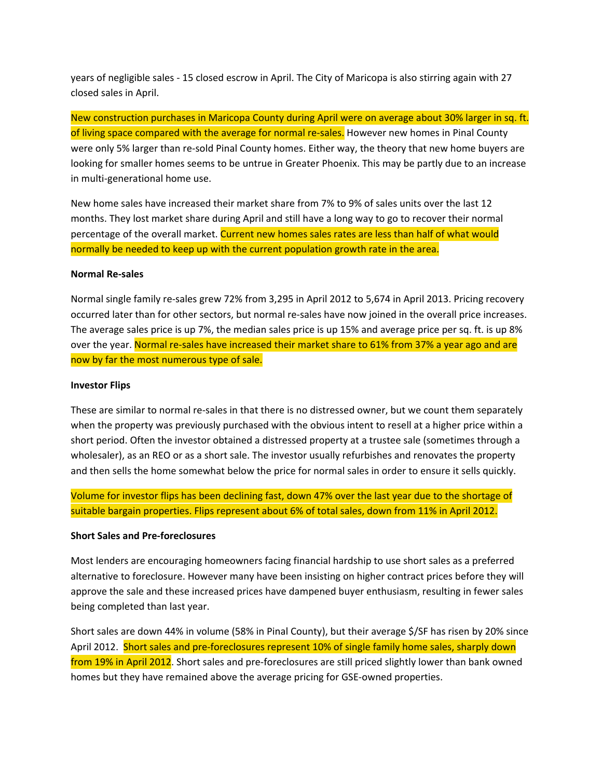years of negligible sales - 15 closed escrow in April. The City of Maricopa is also stirring again with 27 closed sales in April.

New construction purchases in Maricopa County during April were on average about 30% larger in sq. ft. of living space compared with the average for normal re-sales. However new homes in Pinal County were only 5% larger than re-sold Pinal County homes. Either way, the theory that new home buyers are looking for smaller homes seems to be untrue in Greater Phoenix. This may be partly due to an increase in multi-generational home use.

New home sales have increased their market share from 7% to 9% of sales units over the last 12 months. They lost market share during April and still have a long way to go to recover their normal percentage of the overall market. Current new homes sales rates are less than half of what would normally be needed to keep up with the current population growth rate in the area.

#### **Normal Re-sales**

Normal single family re-sales grew 72% from 3,295 in April 2012 to 5,674 in April 2013. Pricing recovery occurred later than for other sectors, but normal re-sales have now joined in the overall price increases. The average sales price is up 7%, the median sales price is up 15% and average price per sq. ft. is up 8% over the year. Normal re-sales have increased their market share to 61% from 37% a year ago and are now by far the most numerous type of sale.

#### **Investor Flips**

These are similar to normal re-sales in that there is no distressed owner, but we count them separately when the property was previously purchased with the obvious intent to resell at a higher price within a short period. Often the investor obtained a distressed property at a trustee sale (sometimes through a wholesaler), as an REO or as a short sale. The investor usually refurbishes and renovates the property and then sells the home somewhat below the price for normal sales in order to ensure it sells quickly.

Volume for investor flips has been declining fast, down 47% over the last year due to the shortage of suitable bargain properties. Flips represent about 6% of total sales, down from 11% in April 2012.

#### **Short Sales and Pre-foreclosures**

Most lenders are encouraging homeowners facing financial hardship to use short sales as a preferred alternative to foreclosure. However many have been insisting on higher contract prices before they will approve the sale and these increased prices have dampened buyer enthusiasm, resulting in fewer sales being completed than last year.

Short sales are down 44% in volume (58% in Pinal County), but their average \$/SF has risen by 20% since April 2012. Short sales and pre-foreclosures represent 10% of single family home sales, sharply down from 19% in April 2012. Short sales and pre-foreclosures are still priced slightly lower than bank owned homes but they have remained above the average pricing for GSE-owned properties.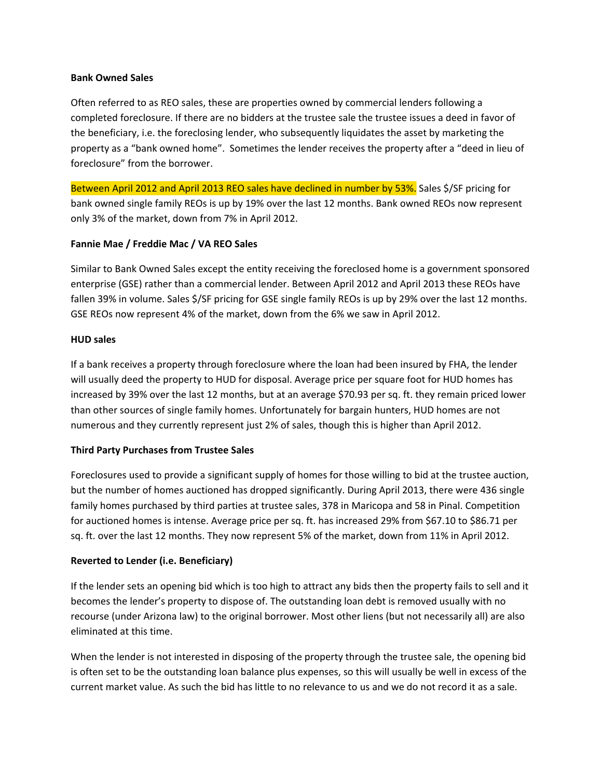#### **Bank Owned Sales**

Often referred to as REO sales, these are properties owned by commercial lenders following a completed foreclosure. If there are no bidders at the trustee sale the trustee issues a deed in favor of the beneficiary, i.e. the foreclosing lender, who subsequently liquidates the asset by marketing the property as a "bank owned home". Sometimes the lender receives the property after a "deed in lieu of foreclosure" from the borrower.

Between April 2012 and April 2013 REO sales have declined in number by 53%. Sales \$/SF pricing for bank owned single family REOs is up by 19% over the last 12 months. Bank owned REOs now represent only 3% of the market, down from 7% in April 2012.

#### **Fannie Mae / Freddie Mac / VA REO Sales**

Similar to Bank Owned Sales except the entity receiving the foreclosed home is a government sponsored enterprise (GSE) rather than a commercial lender. Between April 2012 and April 2013 these REOs have fallen 39% in volume. Sales \$/SF pricing for GSE single family REOs is up by 29% over the last 12 months. GSE REOs now represent 4% of the market, down from the 6% we saw in April 2012.

#### **HUD sales**

If a bank receives a property through foreclosure where the loan had been insured by FHA, the lender will usually deed the property to HUD for disposal. Average price per square foot for HUD homes has increased by 39% over the last 12 months, but at an average \$70.93 per sq. ft. they remain priced lower than other sources of single family homes. Unfortunately for bargain hunters, HUD homes are not numerous and they currently represent just 2% of sales, though this is higher than April 2012.

#### **Third Party Purchases from Trustee Sales**

Foreclosures used to provide a significant supply of homes for those willing to bid at the trustee auction, but the number of homes auctioned has dropped significantly. During April 2013, there were 436 single family homes purchased by third parties at trustee sales, 378 in Maricopa and 58 in Pinal. Competition for auctioned homes is intense. Average price per sq. ft. has increased 29% from \$67.10 to \$86.71 per sq. ft. over the last 12 months. They now represent 5% of the market, down from 11% in April 2012.

#### **Reverted to Lender (i.e. Beneficiary)**

If the lender sets an opening bid which is too high to attract any bids then the property fails to sell and it becomes the lender's property to dispose of. The outstanding loan debt is removed usually with no recourse (under Arizona law) to the original borrower. Most other liens (but not necessarily all) are also eliminated at this time.

When the lender is not interested in disposing of the property through the trustee sale, the opening bid is often set to be the outstanding loan balance plus expenses, so this will usually be well in excess of the current market value. As such the bid has little to no relevance to us and we do not record it as a sale.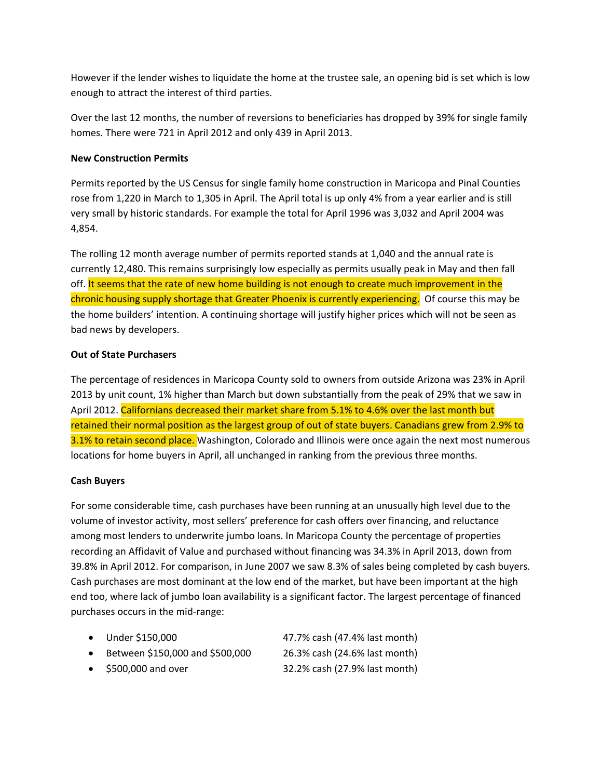However if the lender wishes to liquidate the home at the trustee sale, an opening bid is set which is low enough to attract the interest of third parties.

Over the last 12 months, the number of reversions to beneficiaries has dropped by 39% for single family homes. There were 721 in April 2012 and only 439 in April 2013.

#### **New Construction Permits**

Permits reported by the US Census for single family home construction in Maricopa and Pinal Counties rose from 1,220 in March to 1,305 in April. The April total is up only 4% from a year earlier and is still very small by historic standards. For example the total for April 1996 was 3,032 and April 2004 was 4,854.

The rolling 12 month average number of permits reported stands at 1,040 and the annual rate is currently 12,480. This remains surprisingly low especially as permits usually peak in May and then fall off. It seems that the rate of new home building is not enough to create much improvement in the chronic housing supply shortage that Greater Phoenix is currently experiencing. Of course this may be the home builders' intention. A continuing shortage will justify higher prices which will not be seen as bad news by developers.

#### **Out of State Purchasers**

The percentage of residences in Maricopa County sold to owners from outside Arizona was 23% in April 2013 by unit count, 1% higher than March but down substantially from the peak of 29% that we saw in April 2012. Californians decreased their market share from 5.1% to 4.6% over the last month but retained their normal position as the largest group of out of state buyers. Canadians grew from 2.9% to 3.1% to retain second place. Washington, Colorado and Illinois were once again the next most numerous locations for home buyers in April, all unchanged in ranking from the previous three months.

#### **Cash Buyers**

For some considerable time, cash purchases have been running at an unusually high level due to the volume of investor activity, most sellers' preference for cash offers over financing, and reluctance among most lenders to underwrite jumbo loans. In Maricopa County the percentage of properties recording an Affidavit of Value and purchased without financing was 34.3% in April 2013, down from 39.8% in April 2012. For comparison, in June 2007 we saw 8.3% of sales being completed by cash buyers. Cash purchases are most dominant at the low end of the market, but have been important at the high end too, where lack of jumbo loan availability is a significant factor. The largest percentage of financed purchases occurs in the mid-range:

|  | Under \$150,000 | 47.7% cash (47.4% last month) |
|--|-----------------|-------------------------------|
|--|-----------------|-------------------------------|

- $\bullet$  Between \$150,000 and \$500,000 26.3% cash (24.6% last month)
- x \$500,000 and over 32.2% cash (27.9% last month)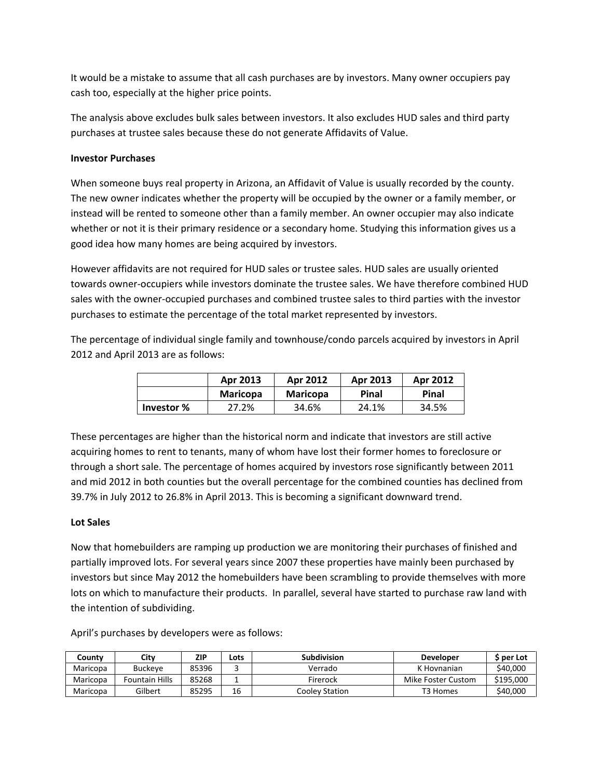It would be a mistake to assume that all cash purchases are by investors. Many owner occupiers pay cash too, especially at the higher price points.

The analysis above excludes bulk sales between investors. It also excludes HUD sales and third party purchases at trustee sales because these do not generate Affidavits of Value.

#### **Investor Purchases**

When someone buys real property in Arizona, an Affidavit of Value is usually recorded by the county. The new owner indicates whether the property will be occupied by the owner or a family member, or instead will be rented to someone other than a family member. An owner occupier may also indicate whether or not it is their primary residence or a secondary home. Studying this information gives us a good idea how many homes are being acquired by investors.

However affidavits are not required for HUD sales or trustee sales. HUD sales are usually oriented towards owner-occupiers while investors dominate the trustee sales. We have therefore combined HUD sales with the owner-occupied purchases and combined trustee sales to third parties with the investor purchases to estimate the percentage of the total market represented by investors.

The percentage of individual single family and townhouse/condo parcels acquired by investors in April 2012 and April 2013 are as follows:

|            | Apr 2013        | <b>Apr 2012</b> | Apr 2013 | Apr 2012 |
|------------|-----------------|-----------------|----------|----------|
|            | <b>Maricopa</b> | <b>Maricopa</b> | Pinal    | Pinal    |
| Investor % | 27.2%           | 34.6%           | 24.1%    | 34.5%    |

These percentages are higher than the historical norm and indicate that investors are still active acquiring homes to rent to tenants, many of whom have lost their former homes to foreclosure or through a short sale. The percentage of homes acquired by investors rose significantly between 2011 and mid 2012 in both counties but the overall percentage for the combined counties has declined from 39.7% in July 2012 to 26.8% in April 2013. This is becoming a significant downward trend.

#### **Lot Sales**

Now that homebuilders are ramping up production we are monitoring their purchases of finished and partially improved lots. For several years since 2007 these properties have mainly been purchased by investors but since May 2012 the homebuilders have been scrambling to provide themselves with more lots on which to manufacture their products. In parallel, several have started to purchase raw land with the intention of subdividing.

| Countv   | City           | ZIP   | Lots | <b>Subdivision</b> | <b>Developer</b>   | S per Lot |
|----------|----------------|-------|------|--------------------|--------------------|-----------|
| Maricopa | <b>Buckeve</b> | 85396 |      | Verrado            | K Hovnanian        | \$40,000  |
| Maricopa | Fountain Hills | 85268 |      | Firerock           | Mike Foster Custom | \$195,000 |
| Maricopa | Gilbert        | 85295 | 16   | Coolev Station     | T3 Homes           | \$40,000  |

April's purchases by developers were as follows: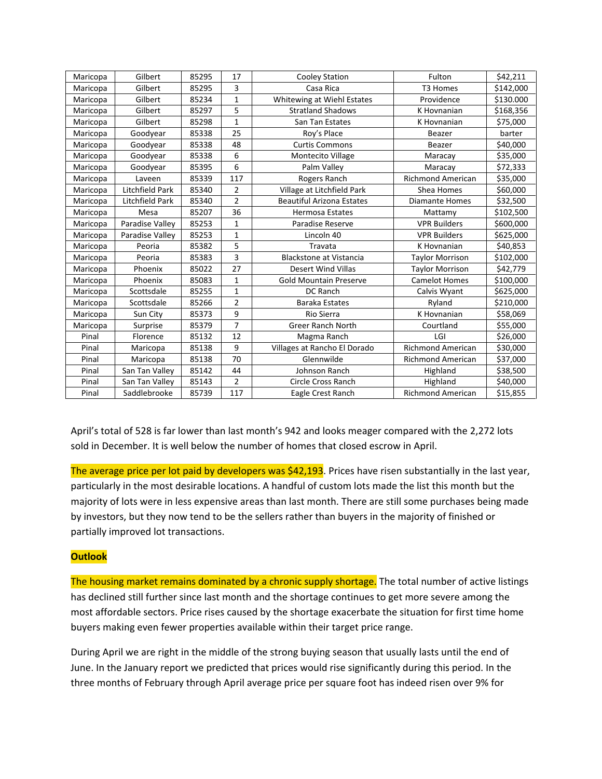| Maricopa | Gilbert                | 85295 | 17             | <b>Cooley Station</b>            | Fulton                   | \$42,211  |
|----------|------------------------|-------|----------------|----------------------------------|--------------------------|-----------|
| Maricopa | Gilbert                | 85295 | 3              | Casa Rica                        | T3 Homes                 | \$142,000 |
| Maricopa | Gilbert                | 85234 | $\mathbf{1}$   | Whitewing at Wiehl Estates       | Providence               | \$130.000 |
| Maricopa | Gilbert                | 85297 | 5              | <b>Stratland Shadows</b>         | K Hovnanian              | \$168,356 |
| Maricopa | Gilbert                | 85298 | $\mathbf{1}$   | San Tan Estates                  | K Hovnanian              | \$75,000  |
| Maricopa | Goodyear               | 85338 | 25             | Roy's Place                      | Beazer                   | barter    |
| Maricopa | Goodyear               | 85338 | 48             | <b>Curtis Commons</b>            | Beazer                   | \$40,000  |
| Maricopa | Goodyear               | 85338 | 6              | Montecito Village                | Maracay                  | \$35,000  |
| Maricopa | Goodyear               | 85395 | 6              | Palm Valley                      | Maracay                  | \$72,333  |
| Maricopa | Laveen                 | 85339 | 117            | Rogers Ranch                     | <b>Richmond American</b> | \$35,000  |
| Maricopa | <b>Litchfield Park</b> | 85340 | $\overline{2}$ | Village at Litchfield Park       | Shea Homes               | \$60,000  |
| Maricopa | Litchfield Park        | 85340 | $\overline{2}$ | <b>Beautiful Arizona Estates</b> | <b>Diamante Homes</b>    | \$32,500  |
| Maricopa | Mesa                   | 85207 | 36             | <b>Hermosa Estates</b>           | Mattamy                  | \$102,500 |
| Maricopa | Paradise Valley        | 85253 | $\mathbf{1}$   | Paradise Reserve                 | <b>VPR Builders</b>      | \$600,000 |
| Maricopa | Paradise Valley        | 85253 | $\mathbf{1}$   | Lincoln 40                       | <b>VPR Builders</b>      | \$625,000 |
| Maricopa | Peoria                 | 85382 | 5              | Travata                          | K Hovnanian              | \$40,853  |
| Maricopa | Peoria                 | 85383 | 3              | <b>Blackstone at Vistancia</b>   | <b>Taylor Morrison</b>   | \$102,000 |
| Maricopa | Phoenix                | 85022 | 27             | <b>Desert Wind Villas</b>        | <b>Taylor Morrison</b>   | \$42,779  |
| Maricopa | Phoenix                | 85083 | $\mathbf{1}$   | <b>Gold Mountain Preserve</b>    | <b>Camelot Homes</b>     | \$100,000 |
| Maricopa | Scottsdale             | 85255 | $\mathbf{1}$   | DC Ranch                         | Calvis Wyant             | \$625,000 |
| Maricopa | Scottsdale             | 85266 | $\overline{2}$ | <b>Baraka Estates</b>            | Ryland                   | \$210,000 |
| Maricopa | Sun City               | 85373 | 9              | Rio Sierra                       | K Hovnanian              | \$58,069  |
| Maricopa | Surprise               | 85379 | $\overline{7}$ | <b>Greer Ranch North</b>         | Courtland                | \$55,000  |
| Pinal    | Florence               | 85132 | 12             | Magma Ranch                      | LGI                      | \$26,000  |
| Pinal    | Maricopa               | 85138 | 9              | Villages at Rancho El Dorado     | <b>Richmond American</b> | \$30,000  |
| Pinal    | Maricopa               | 85138 | 70             | Glennwilde                       | <b>Richmond American</b> | \$37,000  |
| Pinal    | San Tan Valley         | 85142 | 44             | Johnson Ranch                    | Highland                 | \$38,500  |
| Pinal    | San Tan Valley         | 85143 | $\overline{2}$ | <b>Circle Cross Ranch</b>        | Highland                 | \$40,000  |
| Pinal    | Saddlebrooke           | 85739 | 117            | Eagle Crest Ranch                | <b>Richmond American</b> | \$15,855  |

April's total of 528 is far lower than last month's 942 and looks meager compared with the 2,272 lots sold in December. It is well below the number of homes that closed escrow in April.

The average price per lot paid by developers was \$42,193. Prices have risen substantially in the last year, particularly in the most desirable locations. A handful of custom lots made the list this month but the majority of lots were in less expensive areas than last month. There are still some purchases being made by investors, but they now tend to be the sellers rather than buyers in the majority of finished or partially improved lot transactions.

#### **Outlook**

The housing market remains dominated by a chronic supply shortage. The total number of active listings has declined still further since last month and the shortage continues to get more severe among the most affordable sectors. Price rises caused by the shortage exacerbate the situation for first time home buyers making even fewer properties available within their target price range.

During April we are right in the middle of the strong buying season that usually lasts until the end of June. In the January report we predicted that prices would rise significantly during this period. In the three months of February through April average price per square foot has indeed risen over 9% for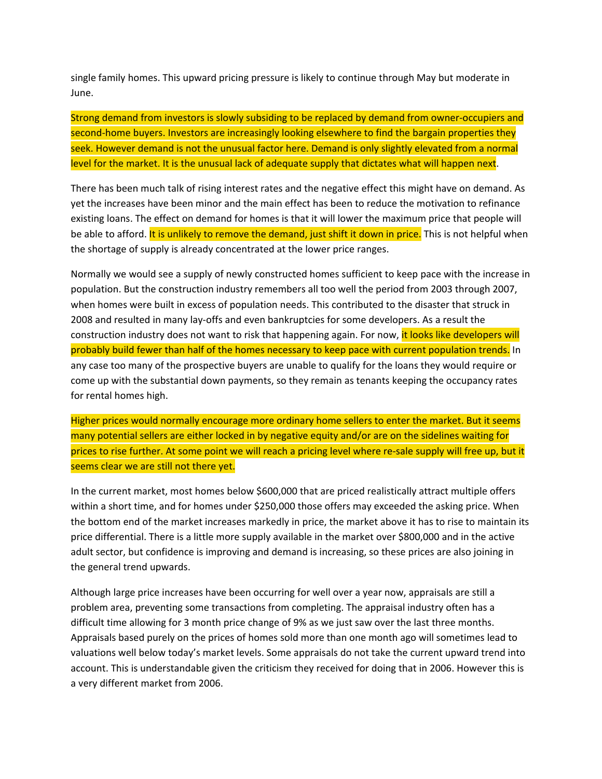single family homes. This upward pricing pressure is likely to continue through May but moderate in June.

Strong demand from investors is slowly subsiding to be replaced by demand from owner-occupiers and second-home buyers. Investors are increasingly looking elsewhere to find the bargain properties they seek. However demand is not the unusual factor here. Demand is only slightly elevated from a normal level for the market. It is the unusual lack of adequate supply that dictates what will happen next.

There has been much talk of rising interest rates and the negative effect this might have on demand. As yet the increases have been minor and the main effect has been to reduce the motivation to refinance existing loans. The effect on demand for homes is that it will lower the maximum price that people will be able to afford. It is unlikely to remove the demand, just shift it down in price. This is not helpful when the shortage of supply is already concentrated at the lower price ranges.

Normally we would see a supply of newly constructed homes sufficient to keep pace with the increase in population. But the construction industry remembers all too well the period from 2003 through 2007, when homes were built in excess of population needs. This contributed to the disaster that struck in 2008 and resulted in many lay-offs and even bankruptcies for some developers. As a result the construction industry does not want to risk that happening again. For now, it looks like developers will probably build fewer than half of the homes necessary to keep pace with current population trends. In any case too many of the prospective buyers are unable to qualify for the loans they would require or come up with the substantial down payments, so they remain as tenants keeping the occupancy rates for rental homes high.

Higher prices would normally encourage more ordinary home sellers to enter the market. But it seems many potential sellers are either locked in by negative equity and/or are on the sidelines waiting for prices to rise further. At some point we will reach a pricing level where re-sale supply will free up, but it seems clear we are still not there yet.

In the current market, most homes below \$600,000 that are priced realistically attract multiple offers within a short time, and for homes under \$250,000 those offers may exceeded the asking price. When the bottom end of the market increases markedly in price, the market above it has to rise to maintain its price differential. There is a little more supply available in the market over \$800,000 and in the active adult sector, but confidence is improving and demand is increasing, so these prices are also joining in the general trend upwards.

Although large price increases have been occurring for well over a year now, appraisals are still a problem area, preventing some transactions from completing. The appraisal industry often has a difficult time allowing for 3 month price change of 9% as we just saw over the last three months. Appraisals based purely on the prices of homes sold more than one month ago will sometimes lead to valuations well below today's market levels. Some appraisals do not take the current upward trend into account. This is understandable given the criticism they received for doing that in 2006. However this is a very different market from 2006.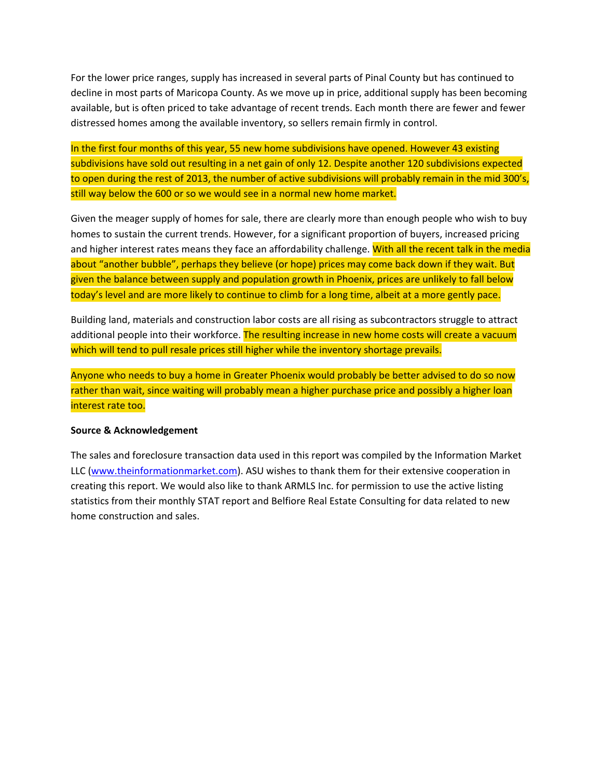For the lower price ranges, supply has increased in several parts of Pinal County but has continued to decline in most parts of Maricopa County. As we move up in price, additional supply has been becoming available, but is often priced to take advantage of recent trends. Each month there are fewer and fewer distressed homes among the available inventory, so sellers remain firmly in control.

In the first four months of this year, 55 new home subdivisions have opened. However 43 existing subdivisions have sold out resulting in a net gain of only 12. Despite another 120 subdivisions expected to open during the rest of 2013, the number of active subdivisions will probably remain in the mid 300's, still way below the 600 or so we would see in a normal new home market.

Given the meager supply of homes for sale, there are clearly more than enough people who wish to buy homes to sustain the current trends. However, for a significant proportion of buyers, increased pricing and higher interest rates means they face an affordability challenge. With all the recent talk in the media about "another bubble", perhaps they believe (or hope) prices may come back down if they wait. But given the balance between supply and population growth in Phoenix, prices are unlikely to fall below today's level and are more likely to continue to climb for a long time, albeit at a more gently pace.

Building land, materials and construction labor costs are all rising as subcontractors struggle to attract additional people into their workforce. The resulting increase in new home costs will create a vacuum which will tend to pull resale prices still higher while the inventory shortage prevails.

Anyone who needs to buy a home in Greater Phoenix would probably be better advised to do so now rather than wait, since waiting will probably mean a higher purchase price and possibly a higher loan interest rate too.

#### **Source & Acknowledgement**

The sales and foreclosure transaction data used in this report was compiled by the Information Market LLC [\(www.theinformationmarket.com\)](file://localhost/Users/johnwake/Google%20Drive/My%20HomeSmart/../../Word/ASU/www.theinformationmarket.com). ASU wishes to thank them for their extensive cooperation in creating this report. We would also like to thank ARMLS Inc. for permission to use the active listing statistics from their monthly STAT report and Belfiore Real Estate Consulting for data related to new home construction and sales.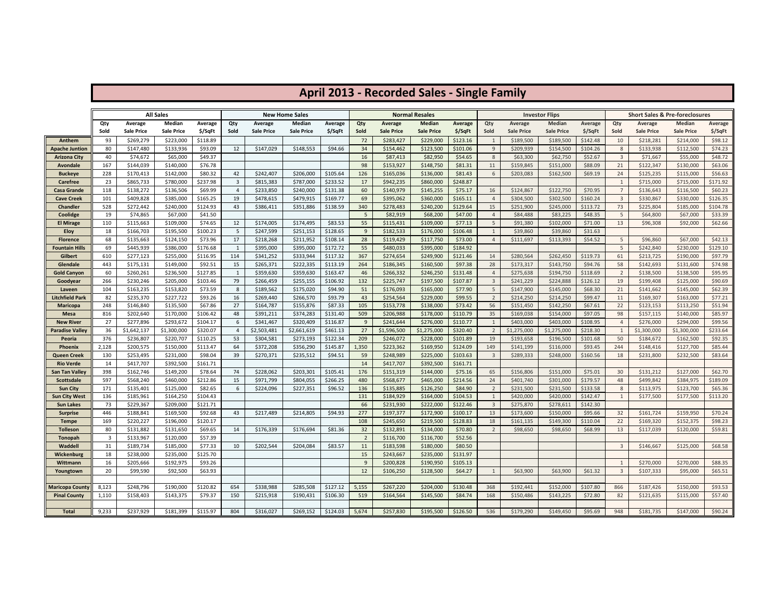|                                         |                |                              | <b>All Sales</b>       |                     |                         |                              | <b>New Home Sales</b>       |                    |                |                                     | <b>Normal Resales</b>       |                     |                                |                              | <b>Investor Flips</b>       |                      |                | <b>Short Sales &amp; Pre-foreclosures</b> |                             |                     |
|-----------------------------------------|----------------|------------------------------|------------------------|---------------------|-------------------------|------------------------------|-----------------------------|--------------------|----------------|-------------------------------------|-----------------------------|---------------------|--------------------------------|------------------------------|-----------------------------|----------------------|----------------|-------------------------------------------|-----------------------------|---------------------|
|                                         | Qty<br>Sold    | Average<br><b>Sale Price</b> | Median<br>Sale Price   | Average<br>\$/SqFt  | Qty<br>Sold             | Average<br><b>Sale Price</b> | Median<br><b>Sale Price</b> | Average<br>\$/SqFt | Qty<br>Sold    | <b>Average</b><br><b>Sale Price</b> | Median<br><b>Sale Price</b> | Average<br>\$/SqFt  | Qty<br>Sold                    | Average<br><b>Sale Price</b> | Median<br><b>Sale Price</b> | Average<br>$$$ /SqFt | Qty<br>Sold    | Average<br><b>Sale Price</b>              | Median<br><b>Sale Price</b> | Average<br>\$/SqFt  |
| Anthem                                  | 93             | \$269,279                    | \$223,000              | \$118.89            |                         |                              |                             |                    | 72             | \$283,427                           | \$229,000                   | \$123.16            | 1                              | \$189,500                    | \$189,500                   | \$142.48             | 10             | \$218,281                                 | \$214,000                   | \$98.12             |
| Apache Juntion                          | 80             | \$147,480                    | \$133,936              | \$93.09             | 12                      | \$147,029                    | \$148,553                   | \$94.66            | 34             | \$154,462                           | \$123,500                   | \$101.06            | 9                              | \$209,939                    | \$154,500                   | \$104.26             | 8              | \$133,938                                 | \$112,500                   | \$74.23             |
| Arizona City                            | 40             | \$74,672                     | \$65,000               | \$49.37             |                         |                              |                             |                    | 16             | \$87,413                            | \$82,950                    | \$54.65             | 8                              | \$63,300                     | \$62,750                    | \$52.67              | $\overline{3}$ | \$71,667                                  | \$55,000                    | \$48.72             |
| Avondale                                | 167            | \$144,039                    | \$140,000              | \$76.78             |                         |                              |                             |                    | 98             | \$153,927                           | \$148,750                   | \$81.31             | 11                             | \$159,845                    | \$151,000                   | \$88.09              | 21             | \$122,347                                 | \$130,000                   | \$63.06             |
| <b>Buckeye</b>                          | 228            | \$170,413                    | \$142,000              | \$80.32             | 42                      | \$242,407                    | \$206,000                   | \$105.64           | 126            | \$165,036                           | \$136,000                   | \$81.43             | 6                              | \$203,083                    | \$162,500                   | \$69.19              | 24             | \$125,235                                 | \$115,000                   | \$56.63             |
| <b>Carefree</b>                         | 23             | \$865,733                    | \$780,000              | \$237.98            | $\overline{\mathbf{3}}$ | \$815,383                    | \$787,000                   | \$233.52           | 17             | \$942,235                           | \$860,000                   | \$248.87            |                                |                              |                             |                      | 1              | \$715,000                                 | \$715,000                   | \$171.92            |
| Casa Grande                             | 118            | \$138,272                    | \$136,506              | \$69.99             | $\overline{4}$          | \$233,850                    | \$240,000                   | \$131.38           | 60             | \$140,979                           | \$145,255                   | \$75.17             | 16                             | \$124,867                    | \$122,750                   | \$70.95              | $\overline{7}$ | \$136,643                                 | \$116,500                   | \$60.23             |
| Cave Creek                              | 101            | \$409,828                    | \$385,000              | \$165.25            | 19                      | \$478,615                    | \$479,915                   | \$169.77           | 69             | \$395,062                           | \$360,000                   | \$165.11            | $\overline{4}$                 | \$304,500                    | \$302,500                   | \$160.24             | $\overline{3}$ | \$330,867                                 | \$330,000                   | \$126.35            |
| <b>Chandler</b>                         | 528            | \$272,442                    | \$240,000              | \$124.93            | 43                      | \$386,411                    | \$351,886                   | \$138.59           | 340            | \$278,483                           | \$240,200                   | \$129.64            | 15                             | \$251,900                    | \$245,000                   | \$113.72             | 73             | \$225,804                                 | \$185,000                   | \$104.78            |
| Coolidge                                | 19             | \$74,865                     | \$67,000               | \$41.50             |                         |                              |                             |                    | 5              | \$82,919                            | \$68,200                    | \$47.00             | $\overline{4}$                 | \$84,488                     | \$83,225                    | \$48.35              | 5              | \$64,800                                  | \$67,000                    | \$33.39             |
| <b>El Mirage</b>                        | 110            | \$115,663                    | \$109,000              | \$74.65             | 12                      | \$174,005                    | \$174,495                   | \$83.53            | 55             | \$115,431                           | \$109,000                   | \$77.13             | 5                              | \$91,380                     | \$102,000                   | \$71.00              | 13             | \$96,308                                  | \$92,000                    | \$62.66             |
| <b>Eloy</b>                             | 18             | \$166,703                    | \$195,500              | \$100.23            | 5                       | \$247,599                    | \$251,153                   | \$128.65           | 9              | \$182,533                           | \$176,000                   | \$106.48            | $\mathbf{1}$                   | \$39,860                     | \$39,860                    | \$31.63              |                |                                           |                             |                     |
| <b>Florence</b>                         | 68             | \$135,663                    | \$124,150              | \$73.96             | 17                      | \$218,268                    | \$211,952                   | \$108.14           | 28             | \$119,429                           | \$117,750                   | \$73.00             | $\overline{4}$                 | \$111,697                    | \$113,393                   | \$54.52              | 5              | \$96,860                                  | \$67,000                    | \$42.13             |
| Fountain Hills                          | 69             | \$445,939                    | \$386,000              | \$176.68            | 1                       | \$395,000                    | \$395,000                   | \$172.72           | 55             | \$480,033                           | \$395,000                   | \$184.92            |                                |                              |                             |                      | 5              | \$242,840                                 | \$230,000                   | \$129.10            |
| Gilbert                                 | 610            | \$277,123                    | \$255,000              | \$116.95            | 114                     | \$341,252                    | \$333,944                   | \$117.32           | 367            | \$274,654                           | \$249,900                   | \$121.46            | 14                             | \$280,564                    | \$262,450                   | \$119.73             | 61             | \$213,725                                 | \$190,000                   | \$97.79             |
| Glendale                                | 443            | \$175,131                    | \$149,000              | \$92.51             | 15                      | \$265,371                    | \$222,335                   | \$113.19           | 264            | \$186,345                           | \$160,500                   | \$97.38             | 28                             | \$173,317                    | \$143,750                   | \$94.76              | 58             | \$142,693                                 | \$131,600                   | \$74.98             |
| <b>Gold Canyon</b>                      | 60             | \$260,261                    | \$236,500              | \$127.85            | 1                       | \$359,630                    | \$359,630                   | \$163.47           | 46             | \$266,332                           | \$246,250                   | \$131.48            | $\overline{4}$                 | \$275,638                    | \$194,750                   | \$118.69             | 2              | \$138,500                                 | \$138,500                   | \$95.95             |
| Goodyear                                | 266            | \$230,246                    | \$205,000              | \$103.46            | 79                      | \$266,459                    | \$255,155                   | \$106.92           | 132            | \$225,747                           | \$197,500                   | \$107.87            | $\overline{3}$                 | \$241,229                    | \$224,888                   | \$126.12             | 19             | \$199,408                                 | \$125,000                   | \$90.69             |
| Laveen                                  | 104            | \$163,235                    | \$153,820              | \$73.59             | 8                       | \$189,562                    | \$175,020                   | \$94.90            | 51             | \$176,093                           | \$165,000                   | \$77.90             | 5                              | \$147,900                    | \$145,000                   | \$68.30              | 21             | \$141,662                                 | \$145,000                   | \$62.39             |
| <b>Litchfield Park</b>                  | 82             | \$235,370                    | \$227,722              | \$93.26             | 16                      | \$269,440                    | \$266,570                   | \$93.79            | 43             | \$254,564                           | \$229,000                   | \$99.55             | $\overline{2}$                 | \$214,250                    | \$214,250                   | \$99.47              | 11             | \$169,307                                 | \$163,000                   | \$77.21             |
| <b>Maricopa</b>                         | 248            | \$146,840                    | \$135,500              | \$67.86             | 27                      | \$164,787                    | \$155,876                   | \$87.33            | 105            | \$153,778                           | \$138,000                   | \$73.42             | 56                             | \$151,450                    | \$142,250                   | \$67.61              | 22             | \$123,153                                 | \$113,250                   | \$51.94             |
| Mesa                                    | 816            | \$202,640                    | \$170,000              | \$106.42            | 48                      | \$391,211                    | \$374,283                   | \$131.40           | 509            | \$206,988                           | \$178,000                   | \$110.79            | 35                             | \$169,038                    | \$154,000                   | \$97.05              | 98             | \$157,115                                 | \$140,000                   | \$85.97             |
| <b>New River</b>                        | 27             | \$277,896                    | \$293,672              | \$104.17            | 6                       | \$341,467                    | \$320,409                   | \$116.87           | 9              | \$241,644                           | \$276,000                   | \$110.77            | $\mathbf{1}$                   | \$403,000                    | \$403,000                   | \$108.95             | $\overline{4}$ | \$276,000                                 | \$294,000                   | \$99.56             |
| Paradise Valley                         | 36             | \$1,642,137                  | \$1,300,000            | \$320.07            | $\overline{4}$          | \$2,503,481                  | \$2,661,619                 | \$461.13           | 27             | \$1,596,500                         | \$1,275,000                 | \$320.40            | $\overline{2}$                 | \$1,275,000                  | \$1,275,000                 | \$218.30             | 1              | \$1,300,000                               | \$1,300,000                 | \$233.64            |
| Peoria                                  | 376            | \$236,807                    | \$220,707              | \$110.25            | 53                      | \$304,581                    | \$273,193                   | \$122.34           | 209            | \$246,072                           | \$228,000                   | \$101.89            | 19                             | \$193,658                    | \$196,500                   | \$101.68             | 50             | \$184,672                                 | \$162,500                   | \$92.35             |
| <b>Phoenix</b>                          | 2,128          | \$200,575                    | \$150,000              | \$113.47            | 64                      | \$372,208                    | \$356,290                   | \$145.87           | 1,350          | \$223,362                           | \$169,950                   | \$124.09            | 149                            | \$141,199                    | \$116,000                   | \$93.45              | 244            | \$148,416                                 | \$127,700                   | \$85.44             |
| Queen Creek                             | 130            | \$253,495                    | \$231,000              | \$98.04             | 39                      | \$270,371                    | \$235,512                   | \$94.51            | 59             | \$248,989                           | \$225,000                   | \$103.63            | $\overline{\mathbf{3}}$        | \$289,333                    | \$248,000                   | \$160.56             | 18             | \$231,800                                 | \$232,500                   | \$83.64             |
| <b>Rio Verde</b>                        | 14             | \$417,707                    | \$392,500              | \$161.71            |                         |                              |                             |                    | 14             | \$417,707                           | \$392,500                   | \$161.71            |                                |                              |                             |                      |                |                                           |                             |                     |
| San Tan Valley                          | 398            | \$162,746                    | \$149,200              | \$78.64             | 74                      | \$228,062                    | \$203,301                   | \$105.41           | 176            | \$151,319                           | \$144,000                   | \$75.16             | 65                             | \$156,806                    | \$151,000                   | \$75.01              | 30             | \$131,212                                 | \$127,000                   | \$62.70             |
| Scottsdale                              | 597            | \$568,240                    | \$460,000              | \$212.86            | 15                      | \$971,799                    | \$804,055                   | \$266.25           | 480            | \$568,677                           | \$465,000                   | \$214.56            | 24                             | \$401,740                    | \$301,000                   | \$179.57             | 48             | \$499,842                                 | \$384,975                   | \$189.09            |
| <b>Sun City</b><br><b>Sun City West</b> | 171<br>136     | \$135,401<br>\$185,961       | \$125,000<br>\$164,250 | \$82.65<br>\$104.43 | 6                       | \$224,096                    | \$227,351                   | \$96.52            | 136<br>131     | \$135,885<br>\$184,929              | \$126,250<br>\$164,000      | \$84.90<br>\$104.53 | $\overline{2}$<br>$\mathbf{1}$ | \$231,500<br>\$420,000       | \$231,500<br>\$420,000      | \$133.58<br>\$142.47 | 8<br>1         | \$113,975<br>\$177,500                    | \$123,700<br>\$177,500      | \$65.36<br>\$113.20 |
| <b>Sun Lakes</b>                        | 73             | \$229,367                    | \$209,000              | \$121.71            |                         |                              |                             |                    | 66             | \$231,930                           | \$222,000                   | \$122.46            | $\overline{3}$                 | \$275,870                    | \$278,611                   | \$142.30             |                |                                           |                             |                     |
| <b>Surprise</b>                         | 446            | \$188,841                    | \$169,500              | \$92.68             | 43                      | \$217,489                    | \$214,805                   | \$94.93            | 277            | \$197,377                           | \$172,900                   | \$100.17            | 13                             | \$173,600                    | \$150,000                   | \$95.66              | 32             | \$161,724                                 | \$159,950                   | \$70.24             |
| Tempe                                   | 169            | \$220,227                    | \$196,000              | \$120.17            |                         |                              |                             |                    | 108            | \$245,650                           | \$219,500                   | \$128.83            | 18                             | \$161,135                    | \$149,300                   | \$110.04             | 22             | \$169,320                                 | \$152,375                   | \$98.23             |
| <b>Tolleson</b>                         | 80             | \$131,882                    | \$131,650              | \$69.65             | 14                      | \$176,339                    | \$176,694                   | \$81.36            | 32             | \$132,891                           | \$134,000                   | \$70.80             | $\overline{2}$                 | \$98,650                     | \$98,650                    | \$68.99              | 13             | \$117,039                                 | \$120,000                   | \$59.81             |
| Tonopah                                 | $\overline{3}$ | \$133,967                    | \$120,000              | \$57.39             |                         |                              |                             |                    | $\overline{2}$ | \$116,700                           | \$116,700                   | \$52.56             |                                |                              |                             |                      |                |                                           |                             |                     |
| Waddell                                 | 31             | \$189,734                    | \$185,000              | \$77.33             | 10                      | \$202,544                    | \$204,084                   | \$83.57            | 11             | \$183,598                           | \$180,000                   | \$80.50             |                                |                              |                             |                      | $\overline{3}$ | \$146,667                                 | \$125,000                   | \$68.58             |
| Wickenburg                              | 18             | \$238,000                    | \$235,000              | \$125.70            |                         |                              |                             |                    | 15             | \$243,667                           | \$235,000                   | \$131.97            |                                |                              |                             |                      |                |                                           |                             |                     |
| Wittmann                                | 16             | \$205,666                    | \$192,975              | \$93.26             |                         |                              |                             |                    | 9              | \$200,828                           | \$190,950                   | \$105.13            |                                |                              |                             |                      | 1              | \$270,000                                 | \$270,000                   | \$88.35             |
| Youngtown                               | 20             | \$99,590                     | \$92,500               | \$63.93             |                         |                              |                             |                    | 12             | \$106,250                           | \$128,500                   | \$64.27             | 1                              | \$63,900                     | \$63,900                    | \$61.32              | $\overline{3}$ | \$107,333                                 | \$95,000                    | \$65.51             |
|                                         |                |                              |                        |                     |                         |                              |                             |                    |                |                                     |                             |                     |                                |                              |                             |                      |                |                                           |                             |                     |
| <b>Maricopa County</b>                  | 8,123          | \$248,796                    | \$190,000              | \$120.82            | 654                     | \$338,988                    | \$285,508                   | \$127.12           | 5,155          | \$267,220                           | \$204,000                   | \$130.48            | 368                            | \$192,441                    | \$152,000                   | \$107.80             | 866            | \$187,426                                 | \$150,000                   | \$93.53             |
| <b>Pinal County</b>                     | 1,110          | \$158,403                    | \$143,375              | \$79.37             | 150                     | \$215,918                    | \$190,431                   | \$106.30           | 519            | \$164,564                           | \$145,500                   | \$84.74             | 168                            | \$150,486                    | \$143,225                   | \$72.80              | 82             | \$121,635                                 | \$115,000                   | \$57.40             |
|                                         |                |                              |                        |                     |                         |                              |                             |                    |                |                                     |                             |                     |                                |                              |                             |                      |                |                                           |                             |                     |
| <b>Total</b>                            | 9,233          | \$237,929                    | \$181,399              | \$115.97            | 804                     | \$316,027                    | \$269,152                   | \$124.03           | 5,674          | \$257,830                           | \$195,500                   | \$126.50            | 536                            | \$179,290                    | \$149,450                   | \$95.69              | 948            | \$181,735                                 | \$147,000                   | \$90.24             |

### **April 2013 - Recorded Sales - Single Family**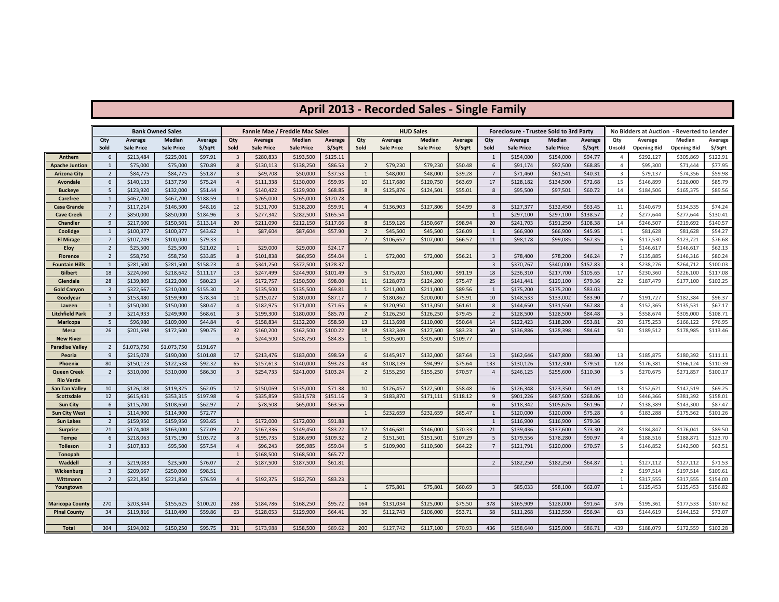# **April 2013 - Recorded Sales - Single Family**

|                                      |                                  |                        | <b>Bank Owned Sales</b> |                     |                      | <b>Fannie Mae / Freddie Mac Sales</b> |                        |                     |                      |                        | <b>HUD Sales</b>       |                     |                         | Foreclosure - Trustee Sold to 3rd Party |                        |                     |                      | No Bidders at Auction - Reverted to Lender |                        |                     |
|--------------------------------------|----------------------------------|------------------------|-------------------------|---------------------|----------------------|---------------------------------------|------------------------|---------------------|----------------------|------------------------|------------------------|---------------------|-------------------------|-----------------------------------------|------------------------|---------------------|----------------------|--------------------------------------------|------------------------|---------------------|
|                                      | Qty                              | Average                | Median                  | Average             | Qty                  | Average                               | Median                 | Average             | Qty                  | Average                | Median                 | Average             | Qty                     | Average                                 | Median                 | Average             | Qty                  | Average                                    | Median                 | Average             |
|                                      | Sold                             | <b>Sale Price</b>      | <b>Sale Price</b>       | \$/SqFt             | Sold                 | <b>Sale Price</b>                     | <b>Sale Price</b>      | \$/SqFt             | Sold                 | <b>Sale Price</b>      | <b>Sale Price</b>      | \$/SqFt             | Sold                    | Sale Price                              | <b>Sale Price</b>      | \$/SqFt             | Unsold               | <b>Opening Bid</b>                         | <b>Opening Bid</b>     | \$/SqFt             |
| Anthem                               | 6                                | \$213,484              | \$225,001               | \$97.91             | $\overline{3}$       | \$280,833                             | \$193,500              | \$125.11            |                      |                        |                        |                     | $\overline{1}$          | \$154,000                               | \$154,000              | \$94.77             | $\overline{4}$       | \$292,127                                  | \$305,869              | \$122.91            |
| Apache Juntion                       | $\mathbf{1}$                     | \$75,000               | \$75,000                | \$70.89             | 8                    | \$130,113                             | \$138,250              | \$86.53             | $\overline{2}$       | \$79,230               | \$79,230               | \$50.48             | 6                       | \$91,174                                | \$92,500               | \$68.85             | $\overline{4}$       | \$95,300                                   | \$71,444               | \$77.95             |
| <b>Arizona City</b>                  | $\overline{2}$                   | \$84,775               | \$84,775                | \$51.87             | 3                    | \$49,708                              | \$50,000               | \$37.53             | $\mathbf{1}$         | \$48,000               | \$48,000               | \$39.28             | $\overline{7}$          | \$71,460                                | \$61,541               | \$40.31             | $\overline{3}$       | \$79,137                                   | \$74,356               | \$59.98             |
| <b>Avondale</b>                      | 6                                | \$140,133              | \$137,750               | \$75.24             | $\overline{4}$       | \$111,338                             | \$130,000              | \$59.95             | 10                   | \$117,680              | \$120,750              | \$63.69             | 17                      | \$128,182                               | \$134,500              | \$72.68             | 15                   | \$146,899                                  | \$126,000              | \$85.79             |
| <b>Buckeye</b>                       | 5                                | \$123,920              | \$132,000               | \$51.44             | 9                    | \$140,422                             | \$129,900              | \$68.85             | 8                    | \$125,876              | \$124,501              | \$55.01             | 8                       | \$95,500                                | \$97,501               | \$60.72             | 14                   | \$184,506                                  | \$165,375              | \$89.56             |
| Carefree                             | $\mathbf{1}$                     | \$467,700              | \$467,700               | \$188.59            | 1                    | \$265,000                             | \$265,000              | \$120.78            |                      |                        |                        |                     |                         |                                         |                        |                     |                      |                                            |                        |                     |
| <b>Casa Grande</b>                   | $\overline{7}$<br>$\overline{2}$ | \$117,214              | \$146,500               | \$48.16<br>\$184.96 | 12<br>$\overline{3}$ | \$131,700<br>\$277,342                | \$138,200              | \$59.91<br>\$165.54 | $\overline{4}$       | \$136,903              | \$127,806              | \$54.99             | 8<br>$\overline{1}$     | \$127,377<br>\$297,100                  | \$132,450<br>\$297,100 | \$63.45<br>\$138.57 | 11                   | \$140,679                                  | \$134,535              | \$74.24<br>\$130.41 |
| <b>Cave Creek</b><br><b>Chandler</b> | 9                                | \$850,000<br>\$217,600 | \$850,000<br>\$150,501  | \$113.14            | 20                   | \$211,090                             | \$282,500<br>\$212,150 | \$117.66            | 8                    | \$159,126              | \$150,667              | \$98.94             | 20                      | \$241,703                               | \$191,250              | \$108.38            | $\overline{2}$<br>14 | \$277,644<br>\$246,507                     | \$277,644<br>\$219,692 | \$140.57            |
| Coolidge                             | $\mathbf{1}$                     | \$100,377              | \$100,377               | \$43.62             | $\mathbf{1}$         | \$87,604                              | \$87,604               | \$57.90             | $\overline{2}$       | \$45,500               | \$45,500               | \$26.09             | $\mathbf{1}$            | \$66,900                                | \$66,900               | \$45.95             | 1                    | \$81,628                                   | \$81,628               | \$54.27             |
| <b>El Mirage</b>                     | $\overline{7}$                   | \$107,249              | \$100,000               | \$79.33             |                      |                                       |                        |                     | $\overline{7}$       | \$106,657              | \$107,000              | \$66.57             | 11                      | \$98,178                                | \$99,085               | \$67.35             | 6                    | \$117,530                                  | \$123,721              | \$76.68             |
| <b>Eloy</b>                          | $\overline{2}$                   | \$25,500               | \$25,500                | \$21.02             | $\mathbf{1}$         | \$29,000                              | \$29,000               | \$24.17             |                      |                        |                        |                     |                         |                                         |                        |                     | 1                    | \$146,617                                  | \$146,617              | \$62.13             |
| <b>Florence</b>                      | $\overline{2}$                   | \$58,750               | \$58,750                | \$33.85             | 8                    | \$101,838                             | \$86,950               | \$54.04             | 1                    | \$72,000               | \$72,000               | \$56.21             | $\overline{3}$          | \$78,400                                | \$78,200               | \$46.24             | $\overline{7}$       | \$135,885                                  | \$146,316              | \$80.24             |
| <b>Fountain Hills</b>                | $\mathbf{1}$                     | \$281,500              | \$281,500               | \$158.23            | $\overline{4}$       | \$341,250                             | \$372,500              | \$128.37            |                      |                        |                        |                     | $\overline{\mathbf{3}}$ | \$370,767                               | \$340,000              | \$152.83            | $\overline{3}$       | \$238,276                                  | \$264,712              | \$100.03            |
| Gilbert                              | 18                               | \$224,060              | \$218,642               | \$111.17            | 13                   | \$247,499                             | \$244,900              | \$101.49            | 5                    | \$175,020              | \$161,000              | \$91.19             | 18                      | \$236,310                               | \$217,700              | \$105.65            | 17                   | \$230,360                                  | \$226,100              | \$117.08            |
| Glendale                             | 28                               | \$139,809              | \$122,000               | \$80.23             | 14                   | \$172,757                             | \$150,500              | \$98.00             | 11                   | \$128,073              | \$124,200              | \$75.47             | 25                      | \$141,441                               | \$129,100              | \$79.36             | 22                   | \$187,479                                  | \$177,100              | \$102.25            |
| <b>Gold Canyon</b>                   | $\overline{3}$                   | \$322,667              | \$210,000               | \$155.30            | $\overline{2}$       | \$135,500                             | \$135,500              | \$69.81             | $\mathbf{1}$         | \$211,000              | \$211,000              | \$89.56             | $\mathbf{1}$            | \$175,200                               | \$175,200              | \$83.03             |                      |                                            |                        |                     |
| Goodyear                             | 5                                | \$153,480              | \$159,900               | \$78.34             | 11                   | \$215,027                             | \$180,000              | \$87.17             | $\overline{7}$       | \$180,862              | \$200,000              | \$75.91             | 10                      | \$148,533                               | \$133,002              | \$83.90             | $\overline{7}$       | \$191,727                                  | \$182,384              | \$96.37             |
| Laveen                               | 1                                | \$150,000              | \$150,000               | \$80.47             | $\overline{4}$       | \$182,975                             | \$171,000              | \$71.65             | 6                    | \$120,950              | \$113,050              | \$61.61             | 8                       | \$144,650                               | \$131,550              | \$67.88             | $\overline{4}$       | \$152,365                                  | \$135,531              | \$67.17             |
| Litchfield Park                      | $\overline{3}$                   | \$214,933              | \$249,900               | \$68.61             | 3                    | \$199,300                             | \$180,000              | \$85.70             | $\overline{2}$       | \$126,250              | \$126,250              | \$79.45             | $\overline{2}$          | \$128,500                               | \$128,500              | \$84.48             | - 5                  | \$358,674                                  | \$305,000              | \$108.71            |
| <b>Maricopa</b>                      | 5                                | \$96,980               | \$109,000               | \$44.84             | 6                    | \$158,834                             | \$132,200              | \$58.50             | 13                   | \$113,698              | \$110,000              | \$50.64             | 14                      | \$122,423                               | \$118,200              | \$53.81             | 20                   | \$175,253                                  | \$166,122              | \$76.95             |
| <b>Mesa</b>                          | 26                               | \$201,598              | \$172,500               | \$90.75             | 32                   | \$160,200                             | \$162,500              | \$100.22            | 18                   | \$132,349              | \$127,500              | \$83.23             | 50                      | \$136,886                               | \$128,398              | \$84.61             | 50                   | \$189,512                                  | \$178,985              | \$113.46            |
| <b>New River</b>                     |                                  |                        |                         |                     | 6                    | \$244,500                             | \$248,750              | \$84.85             | $\mathbf{1}$         | \$305,600              | \$305,600              | \$109.77            |                         |                                         |                        |                     |                      |                                            |                        |                     |
| <b>Paradise Valley</b>               | $\overline{2}$                   | \$1,073,750            | \$1,073,750             | \$191.67            |                      |                                       |                        |                     |                      |                        |                        |                     |                         |                                         |                        |                     |                      |                                            |                        |                     |
| Peoria                               | 9                                | \$215,078              | \$190,000               | \$101.08            | 17                   | \$213,476                             | \$183,000              | \$98.59             | 6                    | \$145,917              | \$132,000              | \$87.64             | 13                      | \$162,646                               | \$147,800              | \$83.90             | 13                   | \$185,875                                  | \$180,392              | \$111.11            |
| <b>Phoenix</b>                       | 80                               | \$150,123              | \$122,538               | \$92.32             | 65                   | \$157,613                             | \$140,000              | \$93.23             | 43                   | \$108,139              | \$94,997               | \$75.64             | 133                     | \$130,126                               | \$112,300              | \$79.51             | 128                  | \$176,381                                  | \$166,124              | \$110.39            |
| Queen Creek                          | $\overline{2}$                   | \$310,000              | \$310,000               | \$86.30             | $\overline{3}$       | \$254,733                             | \$241,000              | \$103.24            | $\overline{2}$       | \$155,250              | \$155,250              | \$70.57             | $\overline{4}$          | \$246,125                               | \$255,600              | \$110.30            | 5                    | \$270,675                                  | \$271,857              | \$100.17            |
| <b>Rio Verde</b>                     |                                  |                        |                         |                     |                      |                                       |                        |                     |                      |                        |                        |                     |                         |                                         |                        |                     |                      |                                            |                        |                     |
| San Tan Valley<br>Scottsdale         | 10<br>12                         | \$126,188<br>\$615,431 | \$119,325<br>\$353,315  | \$62.05<br>\$197.98 | 17<br>6              | \$150,069<br>\$335,859                | \$135,000<br>\$331,578 | \$71.38<br>\$151.16 | 10<br>$\overline{3}$ | \$126,457<br>\$183,870 | \$122,500<br>\$171,111 | \$58.48<br>\$118.12 | 16<br>9                 | \$126,348<br>\$901,226                  | \$123,350<br>\$487,500 | \$61.49<br>\$268.06 | 13<br>10             | \$152,621<br>\$446,366                     | \$147,519<br>\$381,392 | \$69.25<br>\$158.01 |
| <b>Sun City</b>                      | 6                                | \$115,700              | \$108,650               | \$62.97             | $\overline{7}$       | \$78,508                              | \$65,000               | \$63.56             |                      |                        |                        |                     | 6                       | \$118,342                               | \$105,626              | \$61.96             | 7                    | \$138,389                                  | \$143,300              | \$87.47             |
| <b>Sun City West</b>                 | $\mathbf{1}$                     | \$114,900              | \$114,900               | \$72.77             |                      |                                       |                        |                     | -1                   | \$232,659              | \$232,659              | \$85.47             | $\mathbf{1}$            | \$120,000                               | \$120,000              | \$75.28             | 6                    | \$183,288                                  | \$175,562              | \$101.26            |
| <b>Sun Lakes</b>                     | $\overline{2}$                   | \$159,950              | \$159,950               | \$93.65             | $\mathbf{1}$         | \$172,000                             | \$172,000              | \$91.88             |                      |                        |                        |                     | 1                       | \$116,900                               | \$116,900              | \$79.36             |                      |                                            |                        |                     |
| <b>Surprise</b>                      | 21                               | \$174,408              | \$163,000               | \$77.09             | 22                   | \$167,336                             | \$149,450              | \$83.22             | 17                   | \$146,681              | \$146,000              | \$70.33             | 21                      | \$139,436                               | \$137,600              | \$73.30             | 28                   | \$184,847                                  | \$176,041              | \$89.50             |
| <b>Tempe</b>                         | 6                                | \$218,063              | \$175,190               | \$103.72            | 8                    | \$195,735                             | \$186,690              | \$109.32            | $\overline{2}$       | \$151,501              | \$151,501              | \$107.29            | 5                       | \$179,556                               | \$178,280              | \$90.97             | $\overline{4}$       | \$188,516                                  | \$188,871              | \$123.70            |
| Tolleson                             | $\overline{3}$                   | \$107,833              | \$95,500                | \$57.54             | $\overline{4}$       | \$96,243                              | \$95,985               | \$59.04             | 5 <sup>5</sup>       | \$109,900              | \$110,500              | \$64.22             | $\overline{7}$          | \$121,791                               | \$120,000              | \$70.57             | 5                    | \$146,852                                  | \$142,500              | \$63.51             |
| Tonopah                              |                                  |                        |                         |                     | $\mathbf{1}$         | \$168,500                             | \$168,500              | \$65.77             |                      |                        |                        |                     |                         |                                         |                        |                     |                      |                                            |                        |                     |
| Waddell                              | $\overline{3}$                   | \$219,083              | \$23,500                | \$76.07             | $\overline{2}$       | \$187,500                             | \$187,500              | \$61.81             |                      |                        |                        |                     | $\overline{2}$          | \$182,250                               | \$182,250              | \$64.87             | 1                    | \$127,112                                  | \$127,112              | \$71.53             |
| Wickenburg                           | $\overline{3}$                   | \$209,667              | \$250,000               | \$98.51             |                      |                                       |                        |                     |                      |                        |                        |                     |                         |                                         |                        |                     | $\overline{2}$       | \$197,514                                  | \$197,514              | \$109.61            |
| Wittmann                             | $\overline{2}$                   | \$221,850              | \$221,850               | \$76.59             | 4                    | \$192,375                             | \$182,750              | \$83.23             |                      |                        |                        |                     |                         |                                         |                        |                     | 1                    | \$317,555                                  | \$317,555              | \$154.00            |
| Youngtown                            |                                  |                        |                         |                     |                      |                                       |                        |                     | 1                    | \$75,801               | \$75,801               | \$60.69             | $\overline{\mathbf{3}}$ | \$85,033                                | \$58,100               | \$62.07             | 1                    | \$125,453                                  | \$125,453              | \$156.82            |
|                                      |                                  |                        |                         |                     |                      |                                       |                        |                     |                      |                        |                        |                     |                         |                                         |                        |                     |                      |                                            |                        |                     |
| <b>Maricopa County</b>               | 270                              | \$203,344              | \$155,625               | \$100.20            | 268                  | \$184,786                             | \$168,250              | \$95.72             | 164                  | \$131,034              | \$125,000              | \$75.50             | 378                     | \$165,909                               | \$128,000              | \$91.64             | 376                  | \$195,361                                  | \$177,533              | \$107.62            |
| <b>Pinal County</b>                  | 34                               | \$119,816              | \$110,490               | \$59.86             | 63                   | \$128,053                             | \$129,900              | \$64.41             | 36                   | \$112,743              | \$106,000              | \$53.71             | 58                      | \$111,268                               | \$112,550              | \$56.94             | 63                   | \$144,619                                  | \$144,152              | \$73.07             |
|                                      |                                  |                        |                         |                     |                      |                                       |                        |                     |                      |                        |                        |                     |                         |                                         |                        |                     |                      |                                            |                        |                     |
| Total                                | 304                              | \$194,002              | \$150,250               | \$95.75             | 331                  | \$173,988                             | \$158,500              | \$89.62             | 200                  | \$127,742              | \$117,100              | \$70.93             | 436                     | \$158,640                               | \$125,000              | \$86.71             | 439                  | \$188,079                                  | \$172,559              | \$102.28            |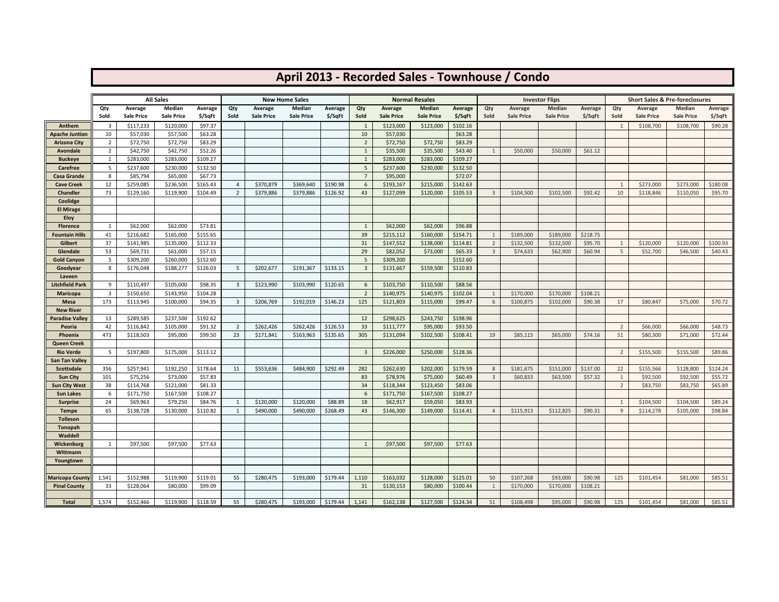|                                          |                         |                       |                            |                     |                         |                   |                                 |          |                    |                       |                                 |                     |                | April 2013 - Recorded Sales - Townhouse / Condo |                                 |          |                |                   |                                                     |          |
|------------------------------------------|-------------------------|-----------------------|----------------------------|---------------------|-------------------------|-------------------|---------------------------------|----------|--------------------|-----------------------|---------------------------------|---------------------|----------------|-------------------------------------------------|---------------------------------|----------|----------------|-------------------|-----------------------------------------------------|----------|
|                                          |                         |                       |                            |                     |                         |                   |                                 |          |                    |                       |                                 |                     |                |                                                 |                                 |          |                |                   |                                                     |          |
|                                          | Qty                     | Average               | <b>All Sales</b><br>Median | Average             | Qty                     | Average           | <b>New Home Sales</b><br>Median | Average  | Qty                | Average               | <b>Normal Resales</b><br>Median | <b>Average</b>      | Qty            | Average                                         | <b>Investor Flips</b><br>Median | Average  | Qty            | Average           | <b>Short Sales &amp; Pre-foreclosures</b><br>Median | Average  |
|                                          | Sold                    | <b>Sale Price</b>     | <b>Sale Price</b>          | \$/SqFt             | Sold                    | <b>Sale Price</b> | <b>Sale Price</b>               | \$/SqFt  | Sold               | <b>Sale Price</b>     | <b>Sale Price</b>               | \$/SqFt             | Sold           | <b>Sale Price</b>                               | <b>Sale Price</b>               | \$/SqFt  | Sold           | <b>Sale Price</b> | <b>Sale Price</b>                                   | \$/SqFt  |
| Anthem                                   | $\overline{\mathbf{3}}$ | \$117,233             | \$120,000                  | \$97.37             |                         |                   |                                 |          | 1                  | \$123,000             | \$123,000                       | \$102.16            |                |                                                 |                                 |          | $\overline{1}$ | \$108,700         | \$108,700                                           | \$90.28  |
| Apache Juntion                           | 10                      | \$57,030              | \$57,500                   | \$63.28             |                         |                   |                                 |          | 10                 | \$57,030              |                                 | \$63.28             |                |                                                 |                                 |          |                |                   |                                                     |          |
| Arizona City                             | $\overline{2}$          | \$72,750              | \$72,750                   | \$83.29             |                         |                   |                                 |          | $\overline{2}$     | \$72,750              | \$72,750                        | \$83.29             |                |                                                 |                                 |          |                |                   |                                                     |          |
| Avondale                                 | $\overline{2}$          | \$42,750              | \$42,750                   | \$52.26             |                         |                   |                                 |          | $\mathbf{1}$       | \$35,500              | \$35,500                        | \$43.40             | 1              | \$50,000                                        | \$50,000                        | \$61.12  |                |                   |                                                     |          |
| <b>Buckeye</b>                           | 1                       | \$283,000             | \$283,000                  | \$109.27            |                         |                   |                                 |          | $\overline{1}$     | \$283,000             | \$283,000                       | \$109.27            |                |                                                 |                                 |          |                |                   |                                                     |          |
| Carefree                                 | 5                       | \$237,600             | \$230,000                  | \$132.50            |                         |                   |                                 |          | 5                  | \$237,600             | \$230,000                       | \$132.50            |                |                                                 |                                 |          |                |                   |                                                     |          |
| Casa Grande                              | 8                       | \$85,794              | \$65,000                   | \$67.73             |                         |                   |                                 |          | $\overline{7}$     | \$95,000              |                                 | \$72.07             |                |                                                 |                                 |          |                |                   |                                                     |          |
| <b>Cave Creek</b>                        | 12                      | \$259,085             | \$236,500                  | \$165.43            | $\overline{4}$          | \$370,879         | \$369,640                       | \$190.98 | 6                  | \$193,167             | \$215,000                       | \$142.63            |                |                                                 |                                 |          | $\mathbf{1}$   | \$273,000         | \$273,000                                           | \$180.08 |
| <b>Chandler</b>                          | 73                      | \$129,160             | \$119,900                  | \$104.49            | $\overline{2}$          | \$379,886         | \$379,886                       | \$126.92 | 43                 | \$127,099             | \$120,000                       | \$105.53            | $\overline{3}$ | \$104,500                                       | \$102,500                       | \$92.42  | 10             | \$118,846         | \$110,050                                           | \$95.70  |
| Coolidge                                 |                         |                       |                            |                     |                         |                   |                                 |          |                    |                       |                                 |                     |                |                                                 |                                 |          |                |                   |                                                     |          |
| <b>El Mirage</b>                         |                         |                       |                            |                     |                         |                   |                                 |          |                    |                       |                                 |                     |                |                                                 |                                 |          |                |                   |                                                     |          |
| <b>Eloy</b>                              |                         |                       |                            |                     |                         |                   |                                 |          |                    |                       |                                 |                     |                |                                                 |                                 |          |                |                   |                                                     |          |
| <b>Florence</b><br><b>Fountain Hills</b> | 1<br>41                 | \$62,000<br>\$216,682 | \$62,000<br>\$165,000      | \$73.81<br>\$155.65 |                         |                   |                                 |          | $\mathbf{1}$<br>39 | \$62,000<br>\$215,112 | \$62,000<br>\$160,000           | \$96.88<br>\$154.71 | 1              | \$189,000                                       | \$189,000                       | \$218.75 |                |                   |                                                     |          |
| Gilbert                                  | 37                      | \$141,985             | \$135,000                  | \$112.33            |                         |                   |                                 |          | 31                 | \$147,552             |                                 | \$114.81            | $\overline{2}$ | \$132,500                                       | \$132,500                       | \$95.70  | 1              | \$120,000         | \$120,000                                           | \$100.93 |
| Glendale                                 | 53                      | \$69,731              | \$61,000                   | \$57.15             |                         |                   |                                 |          | 29                 | \$82,052              | \$138,000<br>\$73,000           | \$65.33             | $\overline{3}$ | \$74,633                                        | \$62,900                        | \$60.94  | 5              | \$52,700          | \$46,500                                            | \$40.43  |
| <b>Gold Canyon</b>                       | 5                       | \$309,200             | \$260,000                  | \$152.60            |                         |                   |                                 |          | 5                  | \$309,200             |                                 | \$152.60            |                |                                                 |                                 |          |                |                   |                                                     |          |
| Goodyear                                 | 8                       | \$176,048             | \$188,277                  | \$126.03            | 5                       | \$202,677         | \$191,367                       | \$133.15 | $\overline{3}$     | \$131,667             | \$159,500                       | \$110.83            |                |                                                 |                                 |          |                |                   |                                                     |          |
| Laveen                                   |                         |                       |                            |                     |                         |                   |                                 |          |                    |                       |                                 |                     |                |                                                 |                                 |          |                |                   |                                                     |          |
| Litchfield Park                          | 9                       | \$110,497             | \$105,000                  | \$98.35             | $\overline{\mathbf{3}}$ | \$123,990         | \$103,990                       | \$120.65 | 6                  | \$103,750             | \$110,500                       | \$88.56             |                |                                                 |                                 |          |                |                   |                                                     |          |
| <b>Maricopa</b>                          | 3                       | \$150,650             | \$143,950                  | \$104.28            |                         |                   |                                 |          | $\overline{2}$     | \$140,975             | \$140,975                       | \$102.04            | 1              | \$170,000                                       | \$170,000                       | \$108.21 |                |                   |                                                     |          |
| Mesa                                     | 173                     | \$113,945             | \$100,000                  | \$94.35             | 3                       | \$206,769         | \$192,019                       | \$146.23 | 125                | \$121,803             | \$115,000                       | \$99.47             | 6              | \$100,875                                       | \$102,000                       | \$90.38  | 17             | \$80,847          | \$75,000                                            | \$70.72  |
| <b>New River</b>                         |                         |                       |                            |                     |                         |                   |                                 |          |                    |                       |                                 |                     |                |                                                 |                                 |          |                |                   |                                                     |          |
| <b>Paradise Valley</b>                   | 13                      | \$289,585             | \$237,500                  | \$192.62            |                         |                   |                                 |          | 12                 | \$298,625             | \$243,750                       | \$198.96            |                |                                                 |                                 |          |                |                   |                                                     |          |
| Peoria                                   | 42                      | \$116,842             | \$105,000                  | \$91.32             | $\overline{2}$          | \$262,426         | \$262,426                       | \$126.53 | 33                 | \$111,777             | \$95,000                        | \$93.50             |                |                                                 |                                 |          | $\overline{2}$ | \$66,000          | \$66,000                                            | \$48.73  |
| <b>Phoenix</b>                           | 473                     | \$118,503             | \$95,000                   | \$99.50             | 23                      | \$171,841         | \$163,963                       | \$135.65 | 305                | \$131,094             | \$102,500                       | \$108.41            | 19             | \$85,115                                        | \$65,000                        | \$74.16  | 51             | \$80,300          | \$71,000                                            | \$72.44  |
| <b>Queen Creek</b>                       |                         |                       |                            |                     |                         |                   |                                 |          |                    |                       |                                 |                     |                |                                                 |                                 |          |                |                   |                                                     |          |
| <b>Rio Verde</b>                         | 5                       | \$197,800             | \$175,000                  | \$113.12            |                         |                   |                                 |          | 3                  | \$226,000             | \$250,000                       | \$128.36            |                |                                                 |                                 |          | $\overline{2}$ | \$155,500         | \$155,500                                           | \$89.86  |
| San Tan Valley                           |                         |                       |                            |                     |                         |                   |                                 |          |                    |                       |                                 |                     |                |                                                 |                                 |          |                |                   |                                                     |          |
| <b>Scottsdale</b>                        | 356                     | \$257,941             | \$192,250                  | \$178.64            | 11                      | \$553,636         | \$484,900                       | \$292.49 | 282                | \$262,630             | \$202,000                       | \$179.59            | 8              | \$181,675                                       | \$151,000                       | \$137.00 | 22             | \$155,566         | \$128,800                                           | \$124.24 |
| <b>Sun City</b>                          | 101                     | \$75,256              | \$73,000                   | \$57.83             |                         |                   |                                 |          | 83                 | \$78,976              | \$75,000                        | \$60.49             | $\overline{3}$ | \$60,833                                        | \$63,500                        | \$57.32  | 1              | \$92,500          | \$92,500                                            | \$55.72  |
| <b>Sun City West</b>                     | 38                      | \$114,768             | \$121,000                  | \$81.33             |                         |                   |                                 |          | 34                 | \$118,344             | \$123,450                       | \$83.06             |                |                                                 |                                 |          | $\overline{2}$ | \$83,750          | \$83,750                                            | \$65.89  |
| <b>Sun Lakes</b>                         | 6                       | \$171,750             | \$167,500                  | \$108.27            |                         |                   |                                 |          | 6                  | \$171,750             | \$167,500                       | \$108.27            |                |                                                 |                                 |          |                |                   |                                                     |          |
| <b>Surprise</b>                          | 24                      | \$69,963              | \$79,250                   | \$84.76             | 1                       | \$120,000         | \$120,000                       | \$88.89  | 18                 | \$62,917              | \$59,050                        | \$83.93             |                |                                                 |                                 |          | 1              | \$104,500         | \$104,500                                           | \$89.24  |
| <b>Tempe</b>                             | 65                      | \$138,728             | \$130,000                  | \$110.82            | 1                       | \$490,000         | \$490,000                       | \$268.49 | 43                 | \$146,300             | \$149,000                       | \$114.41            | $\overline{4}$ | \$115,913                                       | \$112,825                       | \$90.31  | 9              | \$114,278         | \$105,000                                           | \$98.84  |
| <b>Tolleson</b>                          |                         |                       |                            |                     |                         |                   |                                 |          |                    |                       |                                 |                     |                |                                                 |                                 |          |                |                   |                                                     |          |
| Tonopah                                  |                         |                       |                            |                     |                         |                   |                                 |          |                    |                       |                                 |                     |                |                                                 |                                 |          |                |                   |                                                     |          |
| Waddell                                  |                         |                       |                            |                     |                         |                   |                                 |          |                    |                       |                                 |                     |                |                                                 |                                 |          |                |                   |                                                     |          |
| <b>Wickenburg</b>                        | 1                       | \$97,500              | \$97,500                   | \$77.63             |                         |                   |                                 |          | 1                  | \$97,500              | \$97,500                        | \$77.63             |                |                                                 |                                 |          |                |                   |                                                     |          |
| Wittmann                                 |                         |                       |                            |                     |                         |                   |                                 |          |                    |                       |                                 |                     |                |                                                 |                                 |          |                |                   |                                                     |          |
| Youngtown                                |                         |                       |                            |                     |                         |                   |                                 |          |                    |                       |                                 |                     |                |                                                 |                                 |          |                |                   |                                                     |          |
| <b>Maricopa County</b>                   | 1,541                   | \$152,988             | \$119,900                  | \$119.01            | 55                      | \$280,475         | \$193,000                       | \$179.44 | 1,110              | \$163,032             | \$128,000                       | \$125.01            | 50             | \$107,268                                       | \$93,000                        | \$90.98  | 125            | \$101,454         | \$81,000                                            | \$85.51  |
| <b>Pinal County</b>                      | 33                      | \$128,064             | \$80,000                   | \$99.09             |                         |                   |                                 |          | 31                 | \$130,153             | \$80,000                        | \$100.44            | $\mathbf{1}$   | \$170,000                                       | \$170,000                       | \$108.21 |                |                   |                                                     |          |
|                                          |                         |                       |                            |                     |                         |                   |                                 |          |                    |                       |                                 |                     |                |                                                 |                                 |          |                |                   |                                                     |          |
| <b>Total</b>                             | 1,574                   | \$152,466             | \$119,900                  | \$118.59            | 55                      | \$280,475         | \$193,000                       | \$179.44 | 1,141              | \$162,138             | \$127,500                       | \$124.34            | 51             | \$108,498                                       | \$95,000                        | \$90.98  | 125            | \$101,454         | \$81,000                                            | \$85.51  |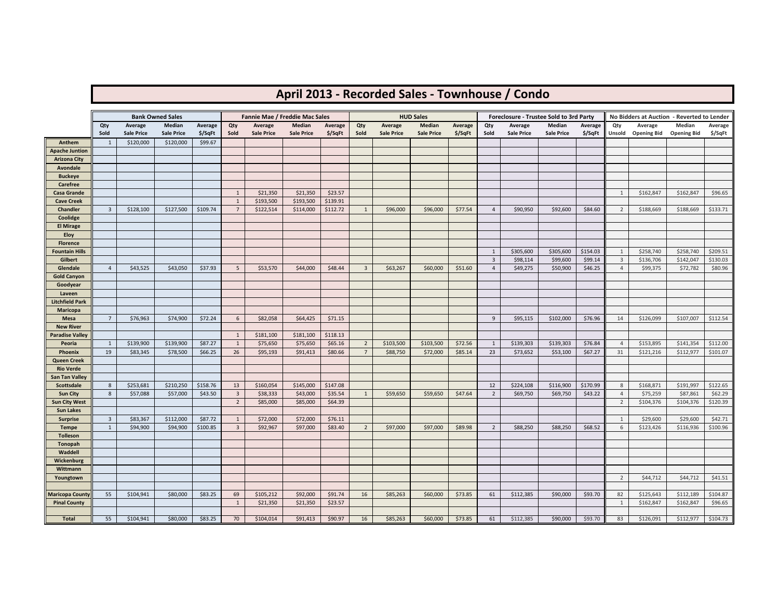## **April 2013 - Recorded Sales - Townhouse / Condo**

|                                          |                |                   | <b>Bank Owned Sales</b> |          |                         | Fannie Mae / Freddie Mac Sales |                   |          |                         |                   | <b>HUD Sales</b>  |         |                | Foreclosure - Trustee Sold to 3rd Party |                   |          |                | No Bidders at Auction - Reverted to Lender |                    |          |
|------------------------------------------|----------------|-------------------|-------------------------|----------|-------------------------|--------------------------------|-------------------|----------|-------------------------|-------------------|-------------------|---------|----------------|-----------------------------------------|-------------------|----------|----------------|--------------------------------------------|--------------------|----------|
|                                          | Qty            | Average           | Median                  | Average  | Qty                     | Average                        | Median            | Average  | Qty                     | Average           | Median            | Average | Qty            | Average                                 | Median            | Average  | Qty            | Average                                    | Median             | Average  |
|                                          | Sold           | <b>Sale Price</b> | <b>Sale Price</b>       | \$/SqFt  | Sold                    | <b>Sale Price</b>              | <b>Sale Price</b> | \$/SqFt  | Sold                    | <b>Sale Price</b> | <b>Sale Price</b> | \$/SqFt | Sold           | <b>Sale Price</b>                       | <b>Sale Price</b> | \$/SqFt  |                | Unsold Opening Bid                         | <b>Opening Bid</b> | \$/SqFt  |
| Anthem                                   | 1              | \$120,000         | \$120,000               | \$99.67  |                         |                                |                   |          |                         |                   |                   |         |                |                                         |                   |          |                |                                            |                    |          |
| <b>Apache Juntion</b>                    |                |                   |                         |          |                         |                                |                   |          |                         |                   |                   |         |                |                                         |                   |          |                |                                            |                    |          |
| <b>Arizona City</b>                      |                |                   |                         |          |                         |                                |                   |          |                         |                   |                   |         |                |                                         |                   |          |                |                                            |                    |          |
| Avondale                                 |                |                   |                         |          |                         |                                |                   |          |                         |                   |                   |         |                |                                         |                   |          |                |                                            |                    |          |
| <b>Buckeye</b>                           |                |                   |                         |          |                         |                                |                   |          |                         |                   |                   |         |                |                                         |                   |          |                |                                            |                    |          |
| Carefree                                 |                |                   |                         |          |                         |                                |                   |          |                         |                   |                   |         |                |                                         |                   |          |                |                                            |                    |          |
| <b>Casa Grande</b>                       |                |                   |                         |          | $\mathbf{1}$            | \$21,350                       | \$21,350          | \$23.57  |                         |                   |                   |         |                |                                         |                   |          | 1              | \$162,847                                  | \$162,847          | \$96.65  |
| <b>Cave Creek</b>                        |                |                   |                         |          | $\mathbf{1}$            | \$193,500                      | \$193,500         | \$139.91 |                         |                   |                   |         |                |                                         |                   |          |                |                                            |                    |          |
| Chandler                                 | $\overline{3}$ | \$128,100         | \$127,500               | \$109.74 | $\overline{7}$          | \$122,514                      | \$114,000         | \$112.72 | 1                       | \$96,000          | \$96,000          | \$77.54 | $\overline{4}$ | \$90,950                                | \$92,600          | \$84.60  | $\overline{2}$ | \$188,669                                  | \$188,669          | \$133.71 |
| Coolidge                                 |                |                   |                         |          |                         |                                |                   |          |                         |                   |                   |         |                |                                         |                   |          |                |                                            |                    |          |
| <b>El Mirage</b>                         |                |                   |                         |          |                         |                                |                   |          |                         |                   |                   |         |                |                                         |                   |          |                |                                            |                    |          |
| Eloy                                     |                |                   |                         |          |                         |                                |                   |          |                         |                   |                   |         |                |                                         |                   |          |                |                                            |                    |          |
| <b>Florence</b><br><b>Fountain Hills</b> |                |                   |                         |          |                         |                                |                   |          |                         |                   |                   |         | 1              | \$305,600                               | \$305,600         | \$154.03 | 1              | \$258,740                                  | \$258,740          | \$209.51 |
| Gilbert                                  |                |                   |                         |          |                         |                                |                   |          |                         |                   |                   |         | $\overline{3}$ | \$98,114                                | \$99,600          | \$99.14  | $\overline{3}$ | \$136,706                                  | \$142,047          | \$130.03 |
| Glendale                                 | $\overline{4}$ | \$43,525          | \$43,050                | \$37.93  | 5                       | \$53,570                       | \$44,000          | \$48.44  | $\overline{\mathbf{3}}$ | \$63,267          | \$60,000          | \$51.60 | $\overline{4}$ | \$49,275                                | \$50,900          | \$46.25  | $\overline{4}$ | \$99,375                                   | \$72,782           | \$80.96  |
| <b>Gold Canyon</b>                       |                |                   |                         |          |                         |                                |                   |          |                         |                   |                   |         |                |                                         |                   |          |                |                                            |                    |          |
| Goodyear                                 |                |                   |                         |          |                         |                                |                   |          |                         |                   |                   |         |                |                                         |                   |          |                |                                            |                    |          |
| Laveen                                   |                |                   |                         |          |                         |                                |                   |          |                         |                   |                   |         |                |                                         |                   |          |                |                                            |                    |          |
| <b>Litchfield Park</b>                   |                |                   |                         |          |                         |                                |                   |          |                         |                   |                   |         |                |                                         |                   |          |                |                                            |                    |          |
| <b>Maricopa</b>                          |                |                   |                         |          |                         |                                |                   |          |                         |                   |                   |         |                |                                         |                   |          |                |                                            |                    |          |
| Mesa                                     | $\overline{7}$ | \$76,963          | \$74,900                | \$72.24  | 6                       | \$82,058                       | \$64,425          | \$71.15  |                         |                   |                   |         | 9              | \$95,115                                | \$102,000         | \$76.96  | 14             | \$126,099                                  | \$107,007          | \$112.54 |
| <b>New River</b>                         |                |                   |                         |          |                         |                                |                   |          |                         |                   |                   |         |                |                                         |                   |          |                |                                            |                    |          |
| <b>Paradise Valley</b>                   |                |                   |                         |          | 1                       | \$181,100                      | \$181,100         | \$118.13 |                         |                   |                   |         |                |                                         |                   |          |                |                                            |                    |          |
| Peoria                                   | 1              | \$139,900         | \$139,900               | \$87.27  | 1                       | \$75,650                       | \$75,650          | \$65.16  | $\overline{2}$          | \$103,500         | \$103,500         | \$72.56 | 1              | \$139,303                               | \$139,303         | \$76.84  | $\overline{4}$ | \$153,895                                  | \$141,354          | \$112.00 |
| Phoenix                                  | 19             | \$83,345          | \$78,500                | \$66.25  | 26                      | \$95,193                       | \$91,413          | \$80.66  | $\overline{7}$          | \$88,750          | \$72,000          | \$85.14 | 23             | \$73,652                                | \$53,100          | \$67.27  | 31             | \$121,216                                  | \$112,977          | \$101.07 |
| Queen Creek                              |                |                   |                         |          |                         |                                |                   |          |                         |                   |                   |         |                |                                         |                   |          |                |                                            |                    |          |
| <b>Rio Verde</b>                         |                |                   |                         |          |                         |                                |                   |          |                         |                   |                   |         |                |                                         |                   |          |                |                                            |                    |          |
| <b>San Tan Valley</b>                    |                |                   |                         |          |                         |                                |                   |          |                         |                   |                   |         |                |                                         |                   |          |                |                                            |                    |          |
| Scottsdale                               | 8              | \$253,681         | \$210,250               | \$158.76 | 13                      | \$160,054                      | \$145,000         | \$147.08 |                         |                   |                   |         | 12             | \$224,108                               | \$116,900         | \$170.99 | 8              | \$168,871                                  | \$191,997          | \$122.65 |
| <b>Sun City</b>                          | 8              | \$57,088          | \$57,000                | \$43.50  | $\overline{\mathbf{3}}$ | \$38,333                       | \$43,000          | \$35.54  | 1                       | \$59,650          | \$59,650          | \$47.64 | $\overline{2}$ | \$69,750                                | \$69,750          | \$43.22  | $\overline{4}$ | \$75,259                                   | \$87,861           | \$62.29  |
| <b>Sun City West</b>                     |                |                   |                         |          | $\overline{2}$          | \$85,000                       | \$85,000          | \$64.39  |                         |                   |                   |         |                |                                         |                   |          | $\overline{2}$ | \$104,376                                  | \$104,376          | \$120.39 |
| <b>Sun Lakes</b>                         |                |                   |                         |          |                         |                                |                   |          |                         |                   |                   |         |                |                                         |                   |          |                |                                            |                    |          |
| <b>Surprise</b>                          | $\overline{3}$ | \$83,367          | \$112,000               | \$87.72  | $\mathbf{1}$            | \$72,000                       | \$72,000          | \$76.11  |                         |                   |                   |         |                |                                         |                   |          | 1              | \$29,600                                   | \$29,600           | \$42.71  |
| <b>Tempe</b>                             | $\mathbf{1}$   | \$94,900          | \$94,900                | \$100.85 | $\overline{\mathbf{3}}$ | \$92,967                       | \$97,000          | \$83.40  | $\overline{2}$          | \$97,000          | \$97,000          | \$89.98 | $\overline{2}$ | \$88,250                                | \$88,250          | \$68.52  | 6              | \$123,426                                  | \$116,936          | \$100.96 |
| <b>Tolleson</b>                          |                |                   |                         |          |                         |                                |                   |          |                         |                   |                   |         |                |                                         |                   |          |                |                                            |                    |          |
| Tonopah                                  |                |                   |                         |          |                         |                                |                   |          |                         |                   |                   |         |                |                                         |                   |          |                |                                            |                    |          |
| Waddell                                  |                |                   |                         |          |                         |                                |                   |          |                         |                   |                   |         |                |                                         |                   |          |                |                                            |                    |          |
| Wickenburg                               |                |                   |                         |          |                         |                                |                   |          |                         |                   |                   |         |                |                                         |                   |          |                |                                            |                    |          |
| Wittmann                                 |                |                   |                         |          |                         |                                |                   |          |                         |                   |                   |         |                |                                         |                   |          |                |                                            |                    |          |
| Youngtown                                |                |                   |                         |          |                         |                                |                   |          |                         |                   |                   |         |                |                                         |                   |          | $\overline{2}$ | \$44,712                                   | \$44,712           | \$41.51  |
|                                          |                |                   |                         |          |                         |                                |                   |          |                         |                   |                   |         |                |                                         |                   |          |                |                                            |                    |          |
| <b>Maricopa County</b>                   | 55             | \$104,941         | \$80,000                | \$83.25  | 69                      | \$105,212                      | \$92,000          | \$91.74  | 16                      | \$85,263          | \$60,000          | \$73.85 | 61             | \$112,385                               | \$90,000          | \$93.70  | 82             | \$125,643                                  | \$112,189          | \$104.87 |
| <b>Pinal County</b>                      |                |                   |                         |          | $\mathbf{1}$            | \$21,350                       | \$21,350          | \$23.57  |                         |                   |                   |         |                |                                         |                   |          | $\mathbf{1}$   | \$162,847                                  | \$162,847          | \$96.65  |
|                                          |                |                   |                         |          |                         |                                |                   |          |                         |                   |                   |         |                |                                         |                   |          |                |                                            |                    |          |
| <b>Total</b>                             | 55             | \$104,941         | \$80,000                | \$83.25  | 70                      | \$104,014                      | \$91,413          | \$90.97  | 16                      | \$85,263          | \$60,000          | \$73.85 | 61             | \$112,385                               | \$90,000          | \$93.70  | 83             | \$126,091                                  | \$112,977          | \$104.73 |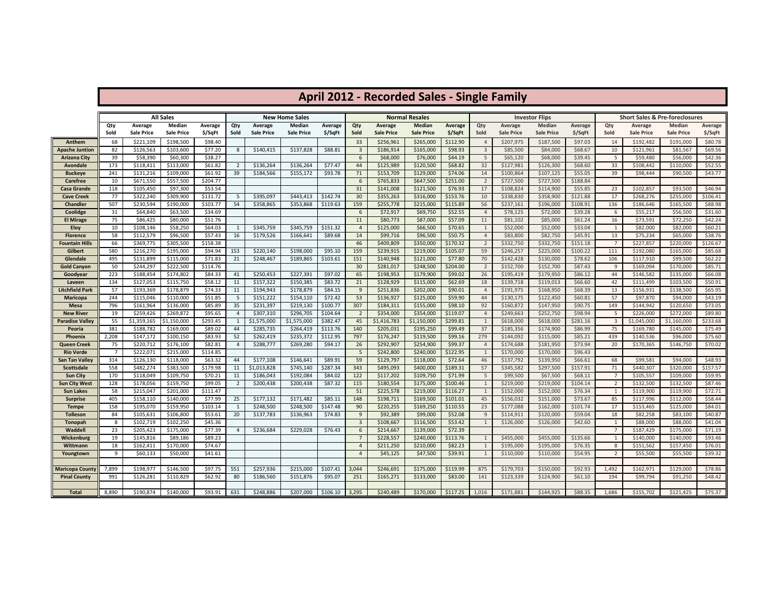|                                   |                |                              |                             |                     |                |                              |                             |                    |                         | <b>April 2012 - Recorded Sales - Single Family</b> |                             |                      |                |                              |                             |                     |                                |                              |                                           |                    |
|-----------------------------------|----------------|------------------------------|-----------------------------|---------------------|----------------|------------------------------|-----------------------------|--------------------|-------------------------|----------------------------------------------------|-----------------------------|----------------------|----------------|------------------------------|-----------------------------|---------------------|--------------------------------|------------------------------|-------------------------------------------|--------------------|
|                                   |                |                              | <b>All Sales</b>            |                     |                |                              | <b>New Home Sales</b>       |                    |                         |                                                    | <b>Normal Resales</b>       |                      |                |                              | <b>Investor Flips</b>       |                     |                                |                              | <b>Short Sales &amp; Pre-foreclosures</b> |                    |
|                                   | Qty<br>Sold    | Average<br><b>Sale Price</b> | Median<br><b>Sale Price</b> | Average<br>\$/SqFt  | Qty<br>Sold    | Average<br><b>Sale Price</b> | Median<br><b>Sale Price</b> | Average<br>\$/SqFt | Qty<br>Sold             | Average<br><b>Sale Price</b>                       | Median<br><b>Sale Price</b> | Average<br>\$/SqFt   | Qty<br>Sold    | Average<br><b>Sale Price</b> | Median<br><b>Sale Price</b> | Average<br>\$/SqFt  | Qty<br>Sold                    | Average<br><b>Sale Price</b> | Median<br><b>Sale Price</b>               | Average<br>\$/SqFt |
| Anthem                            | 68             | \$221,109                    | \$198,500                   | \$98.40             |                |                              |                             |                    | 33                      | \$256,961                                          | \$265,000                   | \$112.90             | $\overline{4}$ | \$207,975                    | \$187,500                   | \$97.03             | 14                             | \$192,482                    | \$191,000                                 | \$80.78            |
| Apache Juntion                    | 82             | \$126,563                    | \$103,600                   | \$77.20             | 8              | \$140,415                    | \$137,828                   | \$88.81            | $\overline{\mathbf{3}}$ | \$186,914                                          | \$165,000                   | \$98.93              | $\overline{3}$ | \$85,500                     | \$84,000                    | \$68.67             | 10                             | \$121,961                    | \$81,567                                  | \$69.56            |
| <b>Arizona City</b>               | 39             | \$58,390                     | \$60,300                    | \$38.27             |                |                              |                             |                    | 6                       | \$68,000                                           | \$76,000                    | \$44.19              | 5              | \$65,120                     | \$68,000                    | \$39.45             | 5                              | \$59,480                     | \$56,000                                  | \$42.36            |
| Avondale                          | 173            | \$118,411                    | \$113,000                   | \$61.82             | $\overline{2}$ | \$136,264                    | \$136,264                   | \$77.47            | 44                      | \$125,989                                          | \$120,500                   | \$68.82              | 32             | \$127,981                    | \$126,300                   | \$68.60             | 33                             | \$108,442                    | \$110,000                                 | \$52.55            |
| <b>Buckeye</b>                    | 241            | \$131,216                    | \$109,000                   | \$61.92             | 39             | \$184,566                    | \$155,172                   | \$93.78            | 71                      | \$153,709                                          | \$129,000                   | \$74.06              | 14             | \$100,864                    | \$107,125                   | \$55.05             | 39                             | \$98,444                     | \$90,500                                  | \$43.77            |
| <b>Carefree</b>                   | 10             | \$671,550                    | \$557,500                   | \$204.77            |                |                              |                             |                    | 6                       | \$765,833                                          | \$647,500                   | \$251.00             | $\overline{2}$ | \$727,500                    | \$727,500                   | \$188.84            |                                |                              |                                           |                    |
| Casa Grande                       | 118            | \$105,450                    | \$97,300                    | \$53.54             |                |                              |                             |                    | 31                      | \$141,008                                          | \$121,500                   | \$76.93              | 17             | \$108,824                    | \$114,900                   | \$55.85             | 23                             | \$102,857                    | \$93,500                                  | \$46.94            |
| <b>Cave Creek</b>                 | 77             | \$322,240                    | \$309,900                   | \$131.72            | 5              | \$395,097                    | \$443,413                   | \$142.74           | 30                      | \$355,263                                          | \$316,000                   | \$153.76             | 10             | \$338,830                    | \$358,900                   | \$121.88            | 17                             | \$268,276                    | \$255,000                                 | \$106.41           |
| Chandler                          | 507            | \$230,594                    | \$190,000                   | \$103.77            | 54             | \$358,865                    | \$353,868                   | \$119.63           | 159                     | \$255,778                                          | \$215,000                   | \$115.89             | 56             | \$237,161                    | \$196,000                   | \$108.91            | 136                            | \$186,646                    | \$165,500                                 | \$88.98            |
| Coolidge                          | 31             | \$64,840                     | \$63,500                    | \$34.69             |                |                              |                             |                    | 6                       | \$72,917                                           | \$69,750                    | \$52.55              | $\overline{4}$ | \$78,125                     | \$72,000                    | \$39.28             | 6                              | \$55,217                     | \$56,500                                  | \$31.60            |
| <b>El Mirage</b>                  | 75             | \$86,425                     | \$80,000                    | \$51.76             |                |                              |                             |                    | 11                      | \$80,773                                           | \$87,000                    | \$57.09              | 11             | \$81,102                     | \$85,000                    | \$61.24             | 16                             | \$73,591                     | \$72,250                                  | \$42.24            |
| <b>Eloy</b>                       | 10             | \$108,146                    | \$58,250                    | \$64.03             | 1              | \$345,759                    | \$345,759                   | \$151.32           | $\overline{4}$          | \$125,000                                          | \$66,500                    | \$70.65              | 1              | \$52,000                     | \$52,000                    | \$33.04             | $\mathbf{1}$                   | \$82,000                     | \$82,000                                  | \$60.21            |
| <b>Florence</b>                   | 58             | \$112,579                    | \$96,500                    | \$57.43             | 16             | \$179,526                    | \$166,641                   | \$89.68            | 14                      | \$99,716                                           | \$96,500                    | \$50.75              | $\overline{4}$ | \$83,800                     | \$82,750                    | \$45.91             | 13                             | \$75,234                     | \$65,000                                  | \$38.76            |
| <b>Fountain Hills</b>             | 66             | \$369,775                    | \$305,500                   | \$158.38            |                |                              |                             |                    | 46                      | \$409,809                                          | \$350,000                   | \$170.32             | $\overline{2}$ | \$332,750                    | \$332,750                   | \$151.18            | $\overline{7}$                 | \$227,857                    | \$220,000                                 | \$126.67           |
| Gilbert                           | 580            | \$216,270                    | \$195,000                   | \$94.94             | 153            | \$220,140                    | \$198,000                   | \$95.10            | 159                     | \$239,915                                          | \$219,000                   | \$105.07             | 59             | \$246,257                    | \$225,000                   | \$100.22            | 111                            | \$192,080                    | \$165,000                                 | \$85.68            |
| Glendale                          | 495            | \$131,899                    | \$115,000                   | \$71.83             | 21             | \$248,467                    | \$189,865                   | \$103.61           | 151                     | \$140,948                                          | \$121,000                   | \$77.80              | 70             | \$142,428                    | \$130,000                   | \$78.62             | 106                            | \$117,910                    | \$99,500                                  | \$62.22            |
| Gold Canyon                       | 50             | \$244,297                    | \$222,500                   | \$114.76            |                |                              |                             |                    | 30                      | \$281,017                                          | \$248,500                   | \$204.00             | $\overline{2}$ | \$152,700                    | \$152,700                   | \$87.43             | 9                              | \$169,094                    | \$170,000                                 | \$85.71            |
| Goodyear                          | 223            | \$188,454                    | \$174,802                   | \$84.33             | 41             | \$250,453                    | \$227,391                   | \$97.02            | 65                      | \$198,953                                          | \$179,900                   | \$99.02              | 26             | \$195,419                    | \$179,950                   | \$86.12             | 44                             | \$146,582                    | \$135,000                                 | \$66.08            |
| Laveen                            | 134            | \$127,053                    | \$115,750                   | \$58.12             | 11             | \$157,322                    | \$150,385                   | \$83.72            | 21                      | \$128,929                                          | \$115,000                   | \$62.69              | 18             | \$139,718                    | \$119,013                   | \$66.60             | 42                             | \$111,499                    | \$103,500                                 | \$50.91            |
| Litchfield Park                   | 57             | \$193,369                    | \$178,879                   | \$74.33             | 11             | \$194,943                    | \$178,879                   | \$84.15            | 9                       | \$251,836                                          | \$202,000                   | \$90.01              | $\overline{4}$ | \$191,975                    | \$168,950                   | \$68.39             | 13                             | \$156,931                    | \$138,500                                 | \$65.95            |
| Maricopa                          | 244            | \$115,046                    | \$110,000                   | \$51.85             | 5              | \$151,222                    | \$154,110                   | \$72.42            | 53                      | \$136,927                                          | \$125,000                   | \$59.90              | 44             | \$130,175                    | \$122,450                   | \$60.81             | 57                             | \$97,870                     | \$94,000                                  | \$43.19            |
| Mesa                              | 796            | \$161,964                    | \$136,000                   | \$85.89             | 35             | \$231,397                    | \$219,130                   | \$100.77           | 307                     | \$184,311                                          | \$155,000                   | \$98.10              | 92             | \$160,872                    | \$147,950                   | \$90.75             | 149                            | \$144,942                    | \$120,650                                 | \$73.05            |
| <b>New River</b>                  | 19             | \$259,426                    | \$269,872                   | \$95.65             | $\overline{4}$ | \$307,310                    | \$296,705                   | \$104.64           | $\overline{2}$          | \$354,000                                          | \$354,000                   | \$119.07             | $\overline{4}$ | \$249,663                    | \$252,750                   | \$98.94             | 5                              | \$226,000                    | \$272,000                                 | \$89.80            |
| Paradise Valley                   | 55             | \$1,359,165                  | \$1,150,000                 | \$293.45            | $\mathbf{1}$   | \$1,575,000                  | \$1,575,000                 | \$382.47           | 45                      | \$1,416,783                                        | \$1,150,000                 | \$299.81             | 1              | \$618,000                    | \$618,000                   | \$281.16            | $\overline{3}$                 | \$1,045,000                  | \$1,160,000                               | \$233.68           |
| Peoria                            | 381            | \$188,782                    | \$169,000                   | \$89.02             | 44             | \$285,735                    | \$264,419                   | \$113.76           | 140                     | \$205,031                                          | \$195,250                   | \$99.49              | 37             | \$185,356                    | \$174,900                   | \$86.99             | 75                             | \$169,780                    | \$145,000                                 | \$75.49            |
| Phoenix                           | 2,208          | \$147,172                    | \$100,150                   | \$83.93             | 52             | \$262,419                    | \$235,372                   | \$112.95           | 797                     | \$176,247                                          | \$119,500                   | \$99.16              | 279            | \$144,092                    | \$115,000                   | \$85.21             | 439                            | \$140,536                    | \$96,000                                  | \$75.60            |
| Queen Creek                       | 75             | \$220,712                    | \$176,100                   | \$82.81             | $\overline{4}$ | \$288,777                    | \$269,280                   | \$94.17            | 26                      | \$292,907                                          | \$254,900                   | \$99.37              | $\overline{4}$ | \$174,688                    | \$181,950                   | \$73.94             | 20                             | \$170,365                    | \$146,750                                 | \$70.02            |
| <b>Rio Verde</b>                  | $\overline{7}$ | \$222,071                    | \$215,000                   | \$114.85            |                |                              |                             |                    | 5                       | \$242,800                                          | \$240,000                   | \$122.95             | $\mathbf{1}$   | \$170,000                    | \$170,000                   | \$96.43             |                                |                              |                                           |                    |
| San Tan Valley                    | 314            | \$126,130                    | \$118,000                   | \$63.32             | 44             | \$177,108                    | \$146,641                   | \$89.91            | 59                      | \$129,797                                          | \$118,000                   | \$72.64              | 46             | \$137,792                    | \$139,950                   | \$66.61             | 68                             | \$99,581                     | \$94,000                                  | \$48.93            |
| <b>Scottsdale</b>                 | 558<br>170     | \$482,274                    | \$383,500                   | \$179.98            | 11             | \$1,013,828                  | \$745,140                   | \$287.34           | 343<br>122              | \$495,093                                          | \$400,000                   | \$189.31             | 57<br>5        | \$345,582                    | \$297,500                   | \$157.91<br>\$68.11 | 71<br>$7\overline{ }$          | \$440,307                    | \$320,000                                 | \$157.57           |
| <b>Sun City</b>                   | 128            | \$118,049                    | \$109,750                   | \$70.21             | 11             | \$186,043                    | \$192,084                   | \$84.02            |                         | \$117,202                                          | \$109,750                   | \$71.99              |                | \$99,500                     | \$67,500                    | \$104.14            |                                | \$105,557                    | \$109,000                                 | \$59.95            |
| Sun City West<br><b>Sun Lakes</b> | 58             | \$178,056<br>\$215,047       | \$159,750<br>\$201,000      | \$99.05<br>\$111.47 | $\overline{2}$ | \$200,438                    | \$200,438                   | \$87.32            | 115<br>51               | \$180,554<br>\$225,578                             | \$175,000<br>\$219,000      | \$100.46<br>\$116.27 | 1<br>1         | \$219,000<br>\$152,000       | \$219,000<br>\$152,000      | \$76.34             | $\overline{2}$<br>$\mathbf{1}$ | \$132,500<br>\$119,900       | \$132,500<br>\$119,900                    | \$87.46<br>\$72.71 |
|                                   | 405            | \$158,110                    | \$140,000                   | \$77.99             | 25             | \$177,132                    | \$171,482                   | \$85.11            | 148                     | \$198,711                                          | \$169,500                   | \$101.01             | 45             | \$156,032                    | \$151,000                   | \$73.67             | 85                             | \$117,996                    | \$112,000                                 | \$58.44            |
| <b>Surprise</b><br><b>Tempe</b>   | 158            | \$195,070                    | \$159,950                   | \$103.14            | 1              | \$248,500                    | \$248,500                   | \$147.48           | 90                      | \$220,255                                          | \$169,250                   | \$110.55             | 23             | \$177,088                    | \$162,000                   | \$101.74            | 17                             | \$153,465                    | \$125,000                                 | \$84.01            |
| <b>Tolleson</b>                   | 84             | \$105,631                    | \$106,800                   | \$53.61             | 20             | \$137,783                    | \$136,963                   | \$74.83            | 9                       | \$92,389                                           | \$99,000                    | \$52.08              | $\mathsf{q}$   | \$114,911                    | \$120,000                   | \$59.04             | 18                             | \$82,258                     | \$83,100                                  | \$40.87            |
| Tonopah                           | 8              | \$102,719                    | \$102,250                   | \$45.36             |                |                              |                             |                    | $\overline{3}$          | \$108,667                                          | \$116,500                   | \$53.42              | 1              | \$126,000                    | \$126,000                   | \$42.60             | 1                              | \$88,000                     | \$88,000                                  | \$41.04            |
| Waddell                           | 23             | \$205,423                    | \$175,000                   | \$77.39             | $\overline{4}$ | \$236,684                    | \$229,028                   | \$76.43            | $\sqrt{6}$              | \$214,667                                          | \$139,000                   | \$72.39              |                |                              |                             |                     | $\overline{7}$                 | \$187,429                    | \$175,000                                 | \$71.19            |
| Wickenburg                        | 19             | \$145,816                    | \$89,186                    | \$89.23             |                |                              |                             |                    | $\overline{7}$          | \$228,557                                          | \$240,000                   | \$113.76             | $\mathbf{1}$   | \$455,000                    | \$455,000                   | \$135.66            | 1                              | \$140,000                    | \$140,000                                 | \$93.46            |
| Wittmann                          | 18             | \$162,411                    | \$170,000                   | \$74.67             |                |                              |                             |                    | $\overline{4}$          | \$211,250                                          | \$210,000                   | \$82.23              | 1              | \$195,000                    | \$195,000                   | \$76.35             | 8                              | \$151,562                    | \$157,450                                 | \$76.01            |
| Youngtown                         | 9              | \$60,133                     | \$50,000                    | \$41.61             |                |                              |                             |                    | $\overline{4}$          | \$45,125                                           | \$47,500                    | \$39.91              | $\mathbf{1}$   | \$110,000                    | \$110,000                   | \$54.95             | $\overline{2}$                 | \$55,500                     | \$55,500                                  | \$39.32            |
|                                   |                |                              |                             |                     |                |                              |                             |                    |                         |                                                    |                             |                      |                |                              |                             |                     |                                |                              |                                           |                    |
| <b>Maricopa County</b>            | 7,899          | \$198,977                    | \$146,500                   | \$97.75             | 551            | \$257,936                    | \$215,000                   | \$107.41           | 3,044                   | \$246,691                                          | \$175,000                   | \$119.99             | 875            | \$179,703                    | \$150,000                   | \$92.93             | 1,492                          | \$162,971                    | \$129,000                                 | \$78.86            |
| <b>Pinal County</b>               | 991            | \$126,281                    | \$110,829                   | \$62.92             | 80             | \$186,560                    | \$151,876                   | \$95.07            | 251                     | \$165,271                                          | \$133,000                   | \$83.00              | 141            | \$123,339                    | \$124,900                   | \$61.10             | 194                            | \$99,794                     | \$91,250                                  | \$48.42            |
|                                   |                |                              |                             |                     |                |                              |                             |                    |                         |                                                    |                             |                      |                |                              |                             |                     |                                |                              |                                           |                    |
| <b>Total</b>                      | 8,890          | \$190,874                    | \$140,000                   | \$93.91             | 631            | \$248,886                    | \$207,000                   | \$106.10           | 3,295                   | \$240,489                                          | \$170,000                   | \$117.25             | 1,016          | \$171,881                    | \$144,925                   | \$88.35             | 1,686                          | \$155,702                    | \$121,425                                 | \$75.37            |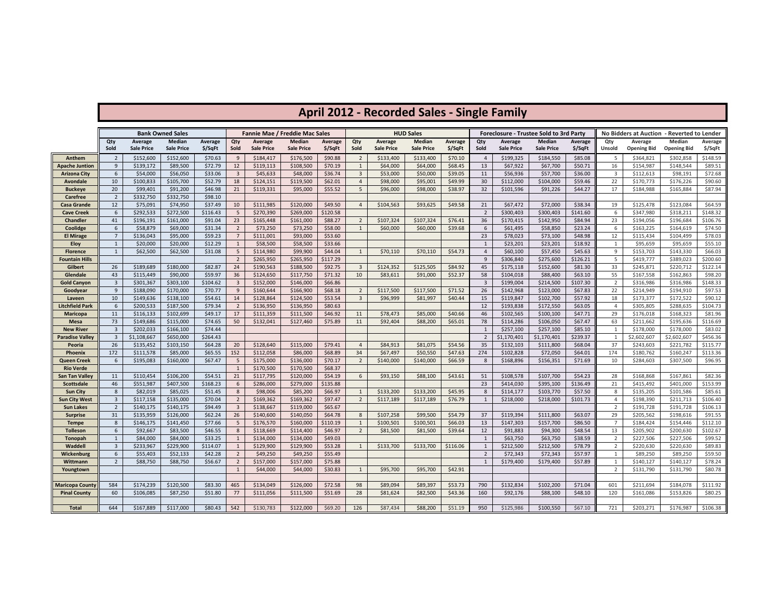# **April 2012 - Recorded Sales - Single Family**

|                                |                         |                        | <b>Bank Owned Sales</b> |          |                         |                        | <b>Fannie Mae / Freddie Mac Sales</b> |                    |                               |                       | <b>HUD Sales</b>  |                    |                | <b>Foreclosure - Trustee Sold to 3rd Party</b> |                       |                     |                | No Bidders at Auction - Reverted to Lender |                        |                      |
|--------------------------------|-------------------------|------------------------|-------------------------|----------|-------------------------|------------------------|---------------------------------------|--------------------|-------------------------------|-----------------------|-------------------|--------------------|----------------|------------------------------------------------|-----------------------|---------------------|----------------|--------------------------------------------|------------------------|----------------------|
|                                | Qty                     | Average                | <b>Median</b>           | Average  | Qty                     | Average                | Median                                | Average            | Qty                           | Average               | Median            | Average            | Qty            | Average                                        | Median                | Average             | Qty            | Average                                    | Median                 | Average              |
|                                | Sold                    | <b>Sale Price</b>      | <b>Sale Price</b>       | \$/SqFt  | Sold                    | <b>Sale Price</b>      | <b>Sale Price</b>                     | \$/SqFt            | Sold                          | <b>Sale Price</b>     | <b>Sale Price</b> | \$/SqFt            | Sold           | <b>Sale Price</b>                              | <b>Sale Price</b>     | \$/SqFt             | Unsold         | <b>Opening Bid</b>                         | <b>Opening Bid</b>     | \$/SqFt              |
| Anthem                         | $\overline{2}$          | \$152,600              | \$152,600               | \$70.63  | 9                       | \$184,417              | \$176,500                             | \$90.88            | $\overline{2}$                | \$133,400             | \$133,400         | \$70.10            | 4              | \$199,325                                      | \$184,550             | \$85.08             | 5              | \$364,821                                  | \$302,858              | \$148.59             |
| Apache Juntion                 | 9                       | \$139,172              | \$89,500                | \$72.79  | 12                      | \$119,113              | \$108,500                             | \$70.19            | 1                             | \$64,000              | \$64,000          | \$68.45            | 13             | \$67,922                                       | \$67,700              | \$50.71             | 16             | \$154,987                                  | \$148,544              | \$89.51              |
| <b>Arizona City</b>            | 6                       | \$54,000               | \$56,050                | \$33.06  | $\overline{\mathbf{3}}$ | \$45,633               | \$48,000                              | \$36.74            | $\overline{3}$                | \$53,000              | \$50,000          | \$39.05            | 11             | \$56,936                                       | \$57,700              | \$36.00             | $\overline{3}$ | \$112,613                                  | \$98,191               | \$72.68              |
| <b>Avondale</b>                | 10                      | \$100,833              | \$105,700               | \$52.79  | 18                      | \$124,151              | \$119,500                             | \$62.01            | $\overline{4}$                | \$98,000              | \$95,001          | \$49.99            | 30             | \$112,000                                      | \$104,000             | \$59.46             | 22             | \$170,773                                  | \$176,226              | \$90.60              |
| <b>Buckeye</b>                 | 20                      | \$99,401               | \$91,200                | \$46.98  | 21                      | \$119,331              | \$95,000                              | \$55.52            | $5\overline{5}$               | \$96,000              | \$98,000          | \$38.97            | 32             | \$101,596                                      | \$91,226              | \$44.27             | 17             | \$184,988                                  | \$165,884              | \$87.94              |
| Carefree                       | $\overline{2}$          | \$332,750              | \$332,750               | \$98.10  |                         |                        |                                       |                    |                               |                       |                   |                    |                |                                                |                       |                     |                |                                            |                        |                      |
| Casa Grande                    | 12                      | \$75,091               | \$74,950                | \$37.49  | 10                      | \$111,985              | \$120,000                             | \$49.50            | $\overline{4}$                | \$104,563             | \$93,625          | \$49.58            | 21             | \$67,472                                       | \$72,000              | \$38.34             | 19             | \$125,478                                  | \$123,084              | \$64.59              |
| <b>Cave Creek</b>              | $6\phantom{1}$          | \$292,533              | \$272,500               | \$116.43 | - 5                     | \$270,390              | \$269,000                             | \$120.58           |                               |                       |                   |                    | $\overline{2}$ | \$300,403                                      | \$300,403             | \$141.60            | 6              | \$347,980                                  | \$318,211              | \$148.32             |
| <b>Chandler</b>                | 41                      | \$196,191              | \$161,000               | \$91.04  | 23                      | \$165,448              | \$161,000                             | \$88.27            | $\overline{2}$                | \$107,324             | \$107,324         | \$76.41            | 36             | \$170,415                                      | \$142,950             | \$84.94             | 23             | \$194,056                                  | \$196,684              | \$106.76             |
| Coolidge                       | 6                       | \$58,879               | \$69,000                | \$31.34  | $\overline{2}$          | \$73,250               | \$73,250                              | \$58.00            | 1                             | \$60,000              | \$60,000          | \$39.68            | 6              | \$61,495                                       | \$58,850              | \$23.24             | 6              | \$163,225                                  | \$164,619              | \$74.50              |
| <b>El Mirage</b>               | $\overline{7}$          | \$136,043              | \$95,000                | \$59.23  | $\overline{7}$          | \$111,001              | \$93,000                              | \$53.60            |                               |                       |                   |                    | 23             | \$78,023                                       | \$73,100              | \$48.98             | 12             | \$115,434                                  | \$104,499              | \$78.03              |
| <b>Eloy</b>                    | 1                       | \$20,000               | \$20,000                | \$12.29  | 1                       | \$58,500               | \$58,500                              | \$33.66            |                               |                       |                   |                    | $\mathbf{1}$   | \$23,201                                       | \$23,201              | \$18.92             | 1              | \$95,659                                   | \$95,659               | \$55.10              |
| <b>Florence</b>                | 1                       | \$62,500               | \$62,500                | \$31.08  | 5                       | \$114,980              | \$99,900                              | \$44.04            | 1                             | \$70,110              | \$70,110          | \$54.73            | $\overline{4}$ | \$60,100                                       | \$57,450              | \$45.63             | 9              | \$153,703                                  | \$143,330              | \$66.03              |
| <b>Fountain Hills</b>          |                         |                        |                         | \$82.87  | $\overline{2}$          | \$265,950              | \$265,950                             | \$117.29           |                               |                       |                   |                    | 9              | \$306,840                                      | \$275,600             | \$126.21<br>\$81.30 | 5              | \$419,777                                  | \$389,023              | \$200.60<br>\$122.14 |
| Gilbert                        | 26<br>43                | \$189,689<br>\$115,449 | \$180,000<br>\$90,000   | \$59.97  | 24<br>36                | \$190,563<br>\$124,650 | \$188,500                             | \$92.75<br>\$71.32 | $\overline{\mathbf{3}}$<br>10 | \$124,352<br>\$83,611 | \$125,505         | \$84.92<br>\$52.37 | 45<br>58       | \$175,118<br>\$104,018                         | \$152,600             | \$63.10             | 33<br>55       | \$245,871<br>\$167,558                     | \$220,712<br>\$162,863 | \$98.20              |
| Glendale<br><b>Gold Canyon</b> | $\overline{\mathbf{3}}$ | \$301,367              | \$303,100               | \$104.62 | $\overline{\mathbf{3}}$ | \$152,000              | \$117,750<br>\$146,000                | \$66.86            |                               |                       | \$91,000          |                    | $\overline{3}$ | \$199,004                                      | \$88,400<br>\$214,500 | \$107.30            | $\overline{2}$ | \$316,986                                  | \$316,986              | \$148.33             |
| Goodyear                       | 9                       | \$188,090              | \$170,000               | \$70.77  | - 9                     | \$160,644              | \$166,900                             | \$68.18            | $\overline{2}$                | \$117,500             | \$117,500         | \$71.52            | 26             | \$142,968                                      | \$123,000             | \$67.83             | 22             | \$214,949                                  | \$194,910              | \$97.53              |
| Laveen                         | 10                      | \$149,636              | \$138,100               | \$54.61  | 14                      | \$128,864              | \$124,500                             | \$53.54            | $\overline{\mathbf{3}}$       | \$96,999              | \$81,997          | \$40.44            | 15             | \$119,847                                      | \$102,700             | \$57.92             | 18             | \$173,377                                  | \$172,522              | \$90.12              |
| Litchfield Park                | 6                       | \$200,533              | \$187,500               | \$79.34  | $\overline{2}$          | \$136,950              | \$136,950                             | \$80.63            |                               |                       |                   |                    | 12             | \$193,838                                      | \$172,550             | \$63.05             | $\overline{4}$ | \$305,805                                  | \$288,635              | \$104.73             |
| <b>Maricopa</b>                | 11                      | \$116,133              | \$102,699               | \$49.17  | 17                      | \$111,359              | \$111,500                             | \$46.92            | 11                            | \$78,473              | \$85,000          | \$40.66            | 46             | \$102,565                                      | \$100,100             | \$47.71             | 29             | \$176,018                                  | \$168,323              | \$81.96              |
| Mesa                           | 73                      | \$149,686              | \$115,000               | \$74.65  | 50                      | \$132,041              | \$127,460                             | \$75.89            | 11                            | \$92,404              | \$88,200          | \$65.01            | 78             | \$114,286                                      | \$106,050             | \$67.47             | 63             | \$211,662                                  | \$195,636              | \$116.69             |
| <b>New River</b>               | $\overline{\mathbf{3}}$ | \$202,033              | \$166,100               | \$74.44  |                         |                        |                                       |                    |                               |                       |                   |                    | 1              | \$257,100                                      | \$257,100             | \$85.10             | $\mathbf{1}$   | \$178,000                                  | \$178,000              | \$83.02              |
| Paradise Valley                | $\overline{3}$          | \$1,108,667            | \$650,000               | \$264.43 |                         |                        |                                       |                    |                               |                       |                   |                    | $\overline{2}$ | \$1,170,401                                    | \$1,170,401           | \$239.37            | 1              | \$2,602,607                                | \$2,602,607            | \$456.36             |
| Peoria                         | 26                      | \$135,452              | \$103,150               | \$64.28  | 20                      | \$128,640              | \$115,000                             | \$79.41            | $\overline{4}$                | \$84,913              | \$81,075          | \$54.56            | 35             | \$132,103                                      | \$111,800             | \$68.04             | 37             | \$243,603                                  | \$221,782              | \$115.77             |
| Phoenix                        | 172                     | \$111,578              | \$85,000                | \$65.55  | 152                     | \$112,058              | \$86,000                              | \$68.89            | 34                            | \$67,497              | \$50,550          | \$47.63            | 274            | \$102,828                                      | \$72,050              | \$64.01             | 174            | \$180,762                                  | \$160,247              | \$113.36             |
| Queen Creek                    | 6                       | \$195,083              | \$160,000               | \$67.47  | - 5                     | \$175,000              | \$136,000                             | \$70.17            | $\overline{2}$                | \$140,000             | \$140,000         | \$66.59            | 8              | \$168,896                                      | \$156,351             | \$71.69             | 10             | \$284,603                                  | \$307,500              | \$96.95              |
| <b>Rio Verde</b>               |                         |                        |                         |          | $\overline{1}$          | \$170,500              | \$170,500                             | \$68.37            |                               |                       |                   |                    |                |                                                |                       |                     |                |                                            |                        |                      |
| San Tan Valley                 | 11                      | \$110,454              | \$106,200               | \$54.51  | 21                      | \$117,795              | \$120,000                             | \$54.19            | 6                             | \$93,150              | \$88,100          | \$43.61            | 51             | \$108,578                                      | \$107,700             | \$54.23             | 28             | \$168,868                                  | \$167,861              | \$82.36              |
| Scottsdale                     | 46                      | \$551,987              | \$407,500               | \$168.23 | 6                       | \$286,000              | \$279,000                             | \$135.88           |                               |                       |                   |                    | 23             | \$414,030                                      | \$395,100             | \$136.49            | 21             | \$415,492                                  | \$401,000              | \$153.99             |
| <b>Sun City</b>                | 8                       | \$82,019               | \$85,025                | \$51.45  | 8                       | \$98,006               | \$85,200                              | \$66.97            | 1                             | \$133,200             | \$133,200         | \$45.95            | 8              | \$114,177                                      | \$103,770             | \$57.50             | 8              | \$135,205                                  | \$101,586              | \$85.61              |
| <b>Sun City West</b>           | $\overline{3}$          | \$117,158              | \$135,000               | \$70.04  | $\overline{2}$          | \$169,362              | \$169,362                             | \$97.47            | $\overline{2}$                | \$117,189             | \$117,189         | \$76.79            | 1              | \$218,000                                      | \$218,000             | \$101.73            | $\overline{4}$ | \$198,390                                  | \$211,713              | \$106.40             |
| <b>Sun Lakes</b>               | $\overline{2}$          | \$140,175              | \$140,175               | \$94.49  | $\overline{\mathbf{3}}$ | \$138,667              | \$119,000                             | \$65.67            |                               |                       |                   |                    |                |                                                |                       |                     | $\overline{2}$ | \$191,728                                  | \$191,728              | \$106.13             |
| <b>Surprise</b>                | 31                      | \$135,959              | \$126,000               | \$62.24  | 26                      | \$140,600              | \$140,050                             | \$64.78            | 8                             | \$107,258             | \$99,500          | \$54.79            | 37             | \$119,394                                      | \$111,800             | \$63.07             | 29             | \$205,562                                  | \$198,616              | \$91.55              |
| <b>Tempe</b>                   | 8                       | \$146,175              | \$141,450               | \$77.66  | - 5                     | \$176,570              | \$160,000                             | \$110.19           | 1                             | \$100,501             | \$100,501         | \$66.03            | 13             | \$147,303                                      | \$157,700             | \$86.50             | $\overline{7}$ | \$184,424                                  | \$154,446              | \$112.10             |
| <b>Tolleson</b>                | 6                       | \$92,667               | \$83,500                | \$46.55  | -8                      | \$118,669              | \$114,400                             | \$46.97            | $\overline{2}$                | \$81,500              | \$81,500          | \$39.64            | 12             | \$91,883                                       | \$94,300              | \$48.54             | 13             | \$205,902                                  | \$200,630              | \$102.67             |
| <b>Tonopah</b>                 | $\mathbf{1}$            | \$84,000               | \$84,000                | \$33.25  | $\overline{1}$          | \$134,000              | \$134,000                             | \$49.03            |                               |                       |                   |                    | 1              | \$63,750                                       | \$63,750              | \$38.59             | $\overline{2}$ | \$227,506                                  | \$227,506              | \$99.52              |
| Waddell                        | $\overline{3}$          | \$233,967              | \$229,900               | \$114.07 | $\mathbf{1}$            | \$129,900              | \$129,900                             | \$53.28            | 1                             | \$133,700             | \$133,700         | \$116.06           | $\mathbf{1}$   | \$212,500                                      | \$212,500             | \$78.79             | $\overline{2}$ | \$220,630                                  | \$220,630              | \$89.83              |
| Wickenburg                     | 6 <sup>1</sup>          | \$55,403               | \$52,133                | \$42.28  | $\overline{2}$          | \$49,250               | \$49,250                              | \$55.49            |                               |                       |                   |                    | $\overline{2}$ | \$72,343                                       | \$72,343              | \$57.97             | $\mathbf{1}$   | \$89,250                                   | \$89,250               | \$59.50              |
| Wittmann                       | $\overline{2}$          | \$88,750               | \$88,750                | \$56.67  | $\overline{2}$          | \$157,000              | \$157,000                             | \$75.88            |                               |                       |                   |                    | 1              | \$179,400                                      | \$179,400             | \$57.89             | 1              | \$140,127                                  | \$140,127              | \$78.24              |
| Youngtown                      |                         |                        |                         |          | 1                       | \$44,000               | \$44,000                              | \$30.83            | 1                             | \$95,700              | \$95,700          | \$42.91            |                |                                                |                       |                     | 2              | \$131,790                                  | \$131,790              | \$80.78              |
|                                |                         |                        |                         |          |                         |                        |                                       |                    |                               |                       |                   |                    |                |                                                |                       |                     |                |                                            |                        |                      |
| Maricopa County                | 584                     | \$174,239              | \$120,500               | \$83.30  | 465                     | \$134,049              | \$126,000                             | \$72.58            | 98                            | \$89,094              | \$89,397          | \$53.73            | 790            | \$132,834                                      | \$102,200             | \$71.04             | 601            | \$211,694                                  | \$184,078              | \$111.92             |
| <b>Pinal County</b>            | 60                      | \$106,085              | \$87,250                | \$51.80  | 77                      | \$111,056              | \$111,500                             | \$51.69            | 28                            | \$81,624              | \$82,500          | \$43.36            | 160            | \$92,176                                       | \$88,100              | \$48.10             | 120            | \$161,086                                  | \$153,826              | \$80.25              |
|                                |                         |                        |                         |          |                         |                        |                                       |                    |                               |                       |                   |                    |                |                                                |                       |                     |                |                                            |                        |                      |
| <b>Total</b>                   | 644                     | \$167,889              | \$117,000               | \$80.43  | 542                     | \$130,783              | \$122,000                             | \$69.20            | 126                           | \$87,434              | \$88,200          | \$51.19            | 950            | \$125,986                                      | \$100,550             | \$67.10             | 721            | \$203,271                                  | \$176,987              | \$106.38             |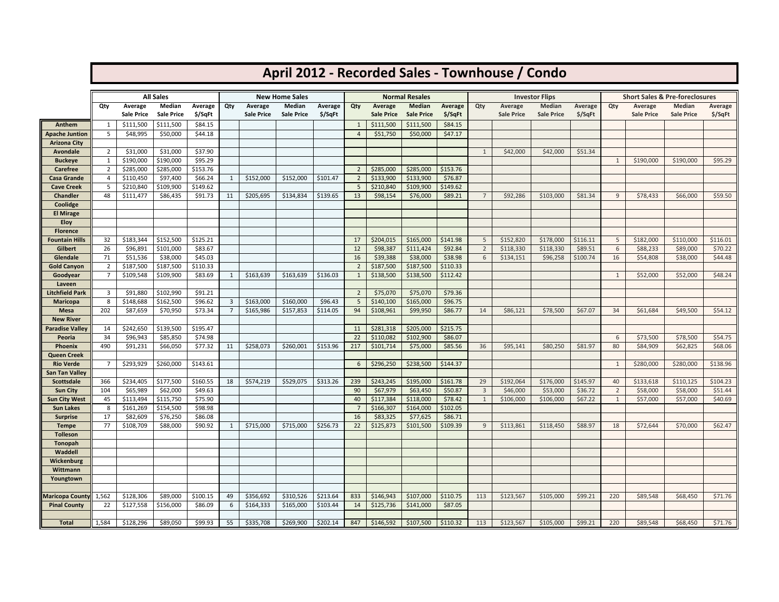|                                |                                  |                        |                            |                     |                |            |                                 |          |                                  |                        |                                 |                     |                | April 2012 - Recorded Sales - Townhouse / Condo |                                 |          |                |                                                      |                   |          |
|--------------------------------|----------------------------------|------------------------|----------------------------|---------------------|----------------|------------|---------------------------------|----------|----------------------------------|------------------------|---------------------------------|---------------------|----------------|-------------------------------------------------|---------------------------------|----------|----------------|------------------------------------------------------|-------------------|----------|
|                                |                                  |                        |                            |                     |                |            |                                 |          |                                  |                        |                                 |                     |                |                                                 |                                 |          |                |                                                      |                   |          |
|                                | Qty                              | Average                | <b>All Sales</b><br>Median | Average             | Qty            | Average    | <b>New Home Sales</b><br>Median | Average  | Qty                              | Average                | <b>Normal Resales</b><br>Median | Average             | Qty            | Average                                         | <b>Investor Flips</b><br>Median | Average  | Qty            | <b>Short Sales &amp; Pre-foreclosures</b><br>Average | <b>Median</b>     | Average  |
|                                |                                  | <b>Sale Price</b>      | <b>Sale Price</b>          | \$/SqFt             |                | Sale Price | <b>Sale Price</b>               | \$/SqFt  |                                  | <b>Sale Price</b>      | <b>Sale Price</b>               | \$/SqFt             |                | <b>Sale Price</b>                               | <b>Sale Price</b>               | \$/SqFt  |                | <b>Sale Price</b>                                    | <b>Sale Price</b> | \$/SqFt  |
| Anthem                         | 1                                | \$111,500              | \$111,500                  | \$84.15             |                |            |                                 |          | 1                                | \$111,500              | \$111,500                       | \$84.15             |                |                                                 |                                 |          |                |                                                      |                   |          |
| <b>Apache Juntion</b>          | 5                                | \$48,995               | \$50,000                   | \$44.18             |                |            |                                 |          | $\overline{4}$                   | \$51,750               | \$50,000                        | \$47.17             |                |                                                 |                                 |          |                |                                                      |                   |          |
| Arizona City                   |                                  |                        |                            |                     |                |            |                                 |          |                                  |                        |                                 |                     |                |                                                 |                                 |          |                |                                                      |                   |          |
| Avondale                       | $\overline{2}$                   | \$31,000               | \$31,000                   | \$37.90             |                |            |                                 |          |                                  |                        |                                 |                     | 1              | \$42,000                                        | \$42,000                        | \$51.34  |                |                                                      |                   |          |
| <b>Buckeye</b>                 | 1                                | \$190,000              | \$190,000                  | \$95.29             |                |            |                                 |          |                                  |                        |                                 |                     |                |                                                 |                                 |          | 1              | \$190,000                                            | \$190,000         | \$95.29  |
| <b>Carefree</b><br>Casa Grande | $\overline{2}$<br>$\overline{4}$ | \$285,000<br>\$110,450 | \$285,000<br>\$97,400      | \$153.76<br>\$66.24 | $\mathbf{1}$   | \$152,000  | \$152,000                       | \$101.47 | $\overline{2}$<br>$\overline{2}$ | \$285,000<br>\$133,900 | \$285,000<br>\$133,900          | \$153.76<br>\$76.87 |                |                                                 |                                 |          |                |                                                      |                   |          |
| <b>Cave Creek</b>              | 5                                | \$210,840              | \$109,900                  | \$149.62            |                |            |                                 |          | 5                                | \$210,840              | \$109,900                       | \$149.62            |                |                                                 |                                 |          |                |                                                      |                   |          |
| <b>Chandler</b>                | 48                               | \$111,477              | \$86,435                   | \$91.73             | 11             | \$205,695  | \$134,834                       | \$139.65 | 13                               | \$98,154               | \$76,000                        | \$89.21             | $\overline{7}$ | \$92,286                                        | \$103,000                       | \$81.34  | 9              | \$78,433                                             | \$66,000          | \$59.50  |
| Coolidge                       |                                  |                        |                            |                     |                |            |                                 |          |                                  |                        |                                 |                     |                |                                                 |                                 |          |                |                                                      |                   |          |
| <b>El Mirage</b>               |                                  |                        |                            |                     |                |            |                                 |          |                                  |                        |                                 |                     |                |                                                 |                                 |          |                |                                                      |                   |          |
| <b>Eloy</b>                    |                                  |                        |                            |                     |                |            |                                 |          |                                  |                        |                                 |                     |                |                                                 |                                 |          |                |                                                      |                   |          |
| <b>Florence</b>                |                                  |                        |                            |                     |                |            |                                 |          |                                  |                        |                                 |                     |                |                                                 |                                 |          |                |                                                      |                   |          |
| <b>Fountain Hills</b>          | 32                               | \$183,344              | \$152,500                  | \$125.21            |                |            |                                 |          | 17                               | \$204,015              | \$165,000                       | \$141.98            | 5              | \$152,820                                       | \$178,000                       | \$116.11 | 5              | \$182,000                                            | \$110,000         | \$116.01 |
| Gilbert                        | 26                               | \$96,891               | \$101,000                  | \$83.67             |                |            |                                 |          | 12                               | \$98,387               | \$111,424                       | \$92.84             | $\overline{2}$ | \$118,330                                       | \$118,330                       | \$89.51  | 6              | \$88,233                                             | \$89,000          | \$70.22  |
| Glendale                       | 71                               | \$51,536               | \$38,000                   | \$45.03             |                |            |                                 |          | 16                               | \$39,388               | \$38,000                        | \$38.98             | 6              | \$134,151                                       | \$96,258                        | \$100.74 | 16             | \$54,808                                             | \$38,000          | \$44.48  |
| <b>Gold Canyon</b>             | $\overline{2}$                   | \$187,500              | \$187,500                  | \$110.33            |                |            |                                 |          | $\overline{2}$                   | \$187,500              | \$187,500                       | \$110.33            |                |                                                 |                                 |          |                |                                                      |                   |          |
| Goodyear                       | $\overline{7}$                   | \$109,548              | \$109,900                  | \$83.69             | 1              | \$163,639  | \$163,639                       | \$136.03 | 1                                | \$138,500              | \$138,500                       | \$112.42            |                |                                                 |                                 |          | 1              | \$52,000                                             | \$52,000          | \$48.24  |
| Laveen                         |                                  |                        |                            |                     |                |            |                                 |          |                                  |                        |                                 |                     |                |                                                 |                                 |          |                |                                                      |                   |          |
| Litchfield Park                | $\overline{3}$<br>8              | \$91,880<br>\$148,688  | \$102,990<br>\$162,500     | \$91.21<br>\$96.62  | 3              | \$163,000  | \$160,000                       | \$96.43  | $\overline{2}$<br>5              | \$75,070               | \$75,070<br>\$165,000           | \$79.36<br>\$96.75  |                |                                                 |                                 |          |                |                                                      |                   |          |
| <b>Maricopa</b><br>Mesa        | 202                              | \$87,659               | \$70,950                   | \$73.34             | $\overline{7}$ | \$165,986  | \$157,853                       | \$114.05 | 94                               | \$140,100<br>\$108,961 | \$99,950                        | \$86.77             | 14             | \$86,121                                        | \$78,500                        | \$67.07  | 34             | \$61,684                                             | \$49,500          | \$54.12  |
| <b>New River</b>               |                                  |                        |                            |                     |                |            |                                 |          |                                  |                        |                                 |                     |                |                                                 |                                 |          |                |                                                      |                   |          |
| <b>Paradise Valley</b>         | 14                               | \$242,650              | \$139,500                  | \$195.47            |                |            |                                 |          | 11                               | \$281,318              | \$205,000                       | \$215.75            |                |                                                 |                                 |          |                |                                                      |                   |          |
| Peoria                         | 34                               | \$96,943               | \$85,850                   | \$74.98             |                |            |                                 |          | 22                               | \$110,082              | \$102,900                       | \$86.07             |                |                                                 |                                 |          | 6              | \$73,500                                             | \$78,500          | \$54.75  |
| <b>Phoenix</b>                 | 490                              | \$91,231               | \$66,050                   | \$77.32             | 11             | \$258,073  | \$260,001                       | \$153.96 | 217                              | \$101,714              | \$75,000                        | \$85.56             | 36             | \$95,141                                        | \$80,250                        | \$81.97  | 80             | \$84,909                                             | \$62,825          | \$68.06  |
| Queen Creek                    |                                  |                        |                            |                     |                |            |                                 |          |                                  |                        |                                 |                     |                |                                                 |                                 |          |                |                                                      |                   |          |
| <b>Rio Verde</b>               | $\overline{7}$                   | \$293,929              | \$260,000                  | \$143.61            |                |            |                                 |          | 6                                | \$296,250              | \$238,500                       | \$144.37            |                |                                                 |                                 |          | $\mathbf{1}$   | \$280,000                                            | \$280,000         | \$138.96 |
| San Tan Valley                 |                                  |                        |                            |                     |                |            |                                 |          |                                  |                        |                                 |                     |                |                                                 |                                 |          |                |                                                      |                   |          |
| Scottsdale                     | 366                              | \$234,405              | \$177,500                  | \$160.55            | 18             | \$574,219  | \$529,075                       | \$313.26 | 239                              | \$243,245              | \$195,000                       | \$161.78            | 29             | \$192,064                                       | \$176,000                       | \$145.97 | 40             | \$133,618                                            | \$110,125         | \$104.23 |
| <b>Sun City</b>                | 104                              | \$65,989               | \$62,000                   | \$49.63             |                |            |                                 |          | 90                               | \$67,979               | \$63,450                        | \$50.87             | $\overline{3}$ | \$46,000                                        | \$53,000                        | \$36.72  | $\overline{2}$ | \$58,000                                             | \$58,000          | \$51.44  |
| <b>Sun City West</b>           | 45                               | \$113,494              | \$115,750                  | \$75.90             |                |            |                                 |          | 40                               | \$117,384              | \$118,000                       | \$78.42             | 1              | \$106,000                                       | \$106,000                       | \$67.22  | $\mathbf{1}$   | \$57,000                                             | \$57,000          | \$40.69  |
| <b>Sun Lakes</b>               | 8                                | \$161,269              | \$154,500                  | \$98.98             |                |            |                                 |          | 7                                | \$166,307              | \$164,000                       | \$102.05            |                |                                                 |                                 |          |                |                                                      |                   |          |
| <b>Surprise</b>                | 17<br>77                         | \$82,609               | \$76,250                   | \$86.08<br>\$90.92  |                |            |                                 |          | 16<br>22                         | \$83,325<br>\$125,873  | \$77,625<br>\$101,500           | \$86.71             | 9              |                                                 |                                 | \$88.97  | 18             |                                                      |                   | \$62.47  |
| <b>Tempe</b><br>Tolleson       |                                  | \$108,709              | \$88,000                   |                     | $\mathbf{1}$   | \$715,000  | \$715,000                       | \$256.73 |                                  |                        |                                 | \$109.39            |                | \$113,861                                       | \$118,450                       |          |                | \$72,644                                             | \$70,000          |          |
| Tonopah                        |                                  |                        |                            |                     |                |            |                                 |          |                                  |                        |                                 |                     |                |                                                 |                                 |          |                |                                                      |                   |          |
| Waddell                        |                                  |                        |                            |                     |                |            |                                 |          |                                  |                        |                                 |                     |                |                                                 |                                 |          |                |                                                      |                   |          |
| Wickenburg                     |                                  |                        |                            |                     |                |            |                                 |          |                                  |                        |                                 |                     |                |                                                 |                                 |          |                |                                                      |                   |          |
| Wittmann                       |                                  |                        |                            |                     |                |            |                                 |          |                                  |                        |                                 |                     |                |                                                 |                                 |          |                |                                                      |                   |          |
| Youngtown                      |                                  |                        |                            |                     |                |            |                                 |          |                                  |                        |                                 |                     |                |                                                 |                                 |          |                |                                                      |                   |          |
|                                |                                  |                        |                            |                     |                |            |                                 |          |                                  |                        |                                 |                     |                |                                                 |                                 |          |                |                                                      |                   |          |
| <b>Maricopa County</b>         | 1,562                            | \$128,306              | \$89,000                   | \$100.15            | 49             | \$356,692  | \$310,526                       | \$213.64 | 833                              | \$146,943              | \$107,000                       | \$110.75            | 113            | \$123,567                                       | \$105,000                       | \$99.21  | 220            | \$89,548                                             | \$68,450          | \$71.76  |
| <b>Pinal County</b>            | 22                               | \$127,558              | \$156,000                  | \$86.09             | 6              | \$164,333  | \$165,000                       | \$103.44 | 14                               | \$125,736              | \$141,000                       | \$87.05             |                |                                                 |                                 |          |                |                                                      |                   |          |
|                                | 1,584                            |                        |                            |                     |                |            |                                 |          |                                  |                        |                                 |                     |                |                                                 |                                 |          | 220            |                                                      |                   |          |
| <b>Total</b>                   |                                  | \$128,296              | \$89,050                   | \$99.93             | 55             | \$335,708  | \$269,900                       | \$202.14 | 847                              | \$146,592              | \$107,500                       | \$110.32            | 113            | \$123,567                                       | \$105,000                       | \$99.21  |                | \$89,548                                             | \$68,450          | \$71.76  |